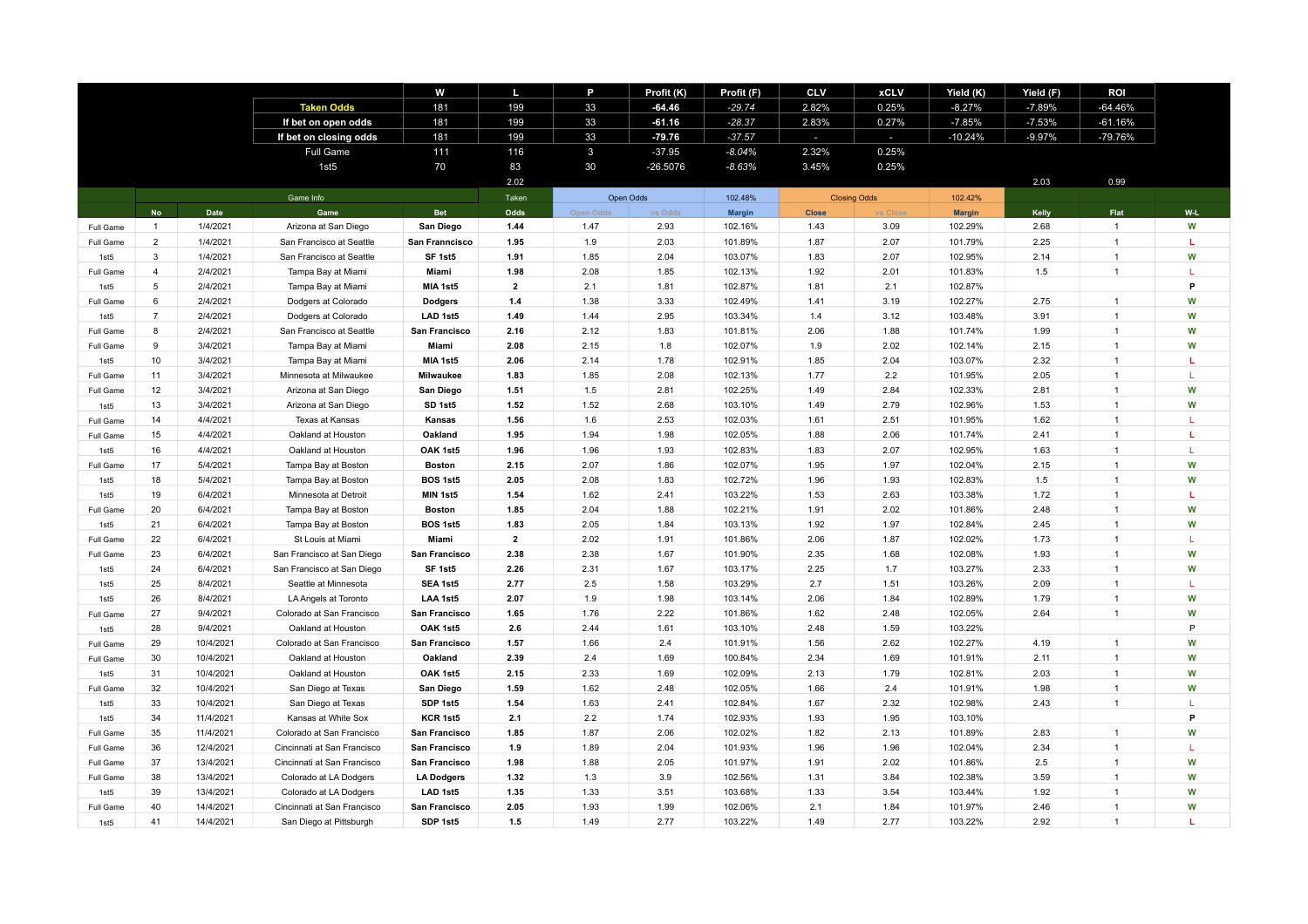|                  |                  |           |                             | w                 | ш              | P            | Profit (K) | Profit (F)    | <b>CLV</b>   | <b>xCLV</b>         | Yield (K)     | Yield (F) | <b>ROI</b>     |     |
|------------------|------------------|-----------|-----------------------------|-------------------|----------------|--------------|------------|---------------|--------------|---------------------|---------------|-----------|----------------|-----|
|                  |                  |           | <b>Taken Odds</b>           | 181               | 199            | 33           | $-64.46$   | $-29.74$      | 2.82%        | 0.25%               | $-8.27%$      | $-7.89%$  | $-64.46%$      |     |
|                  |                  |           | If bet on open odds         | 181               | 199            | 33           | $-61.16$   | $-28.37$      | 2.83%        | 0.27%               | $-7.85%$      | $-7.53%$  | $-61.16%$      |     |
|                  |                  |           | If bet on closing odds      | 181               | 199            | 33           | $-79.76$   | $-37.57$      | a.           | $\sim$              | $-10.24%$     | $-9.97%$  | $-79.76%$      |     |
|                  |                  |           | <b>Full Game</b>            | 111               | 116            | $\mathbf{3}$ | $-37.95$   | $-8.04%$      | 2.32%        | 0.25%               |               |           |                |     |
|                  |                  |           | 1st5                        | 70                | 83             | 30           | $-26.5076$ | $-8.63%$      | 3.45%        | 0.25%               |               |           |                |     |
|                  |                  |           |                             |                   | 2.02           |              |            |               |              |                     |               | 2.03      | 0.99           |     |
|                  |                  |           | Game Info                   |                   | Taken          |              | Open Odds  | 102.48%       |              | <b>Closing Odds</b> | 102.42%       |           |                |     |
|                  | <b>No</b>        | Date      | Game                        | <b>Bet</b>        | Odds           | Open Odds    | vs Odds    | <b>Margin</b> | <b>Close</b> | <b>Close</b>        | <b>Margin</b> | Kelly     | Flat           | W-L |
| Full Game        | $\mathbf{1}$     | 1/4/2021  | Arizona at San Diego        | San Diego         | 1.44           | 1.47         | 2.93       | 102.16%       | 1.43         | 3.09                | 102.29%       | 2.68      | $\overline{1}$ | W   |
| Full Game        | $\overline{2}$   | 1/4/2021  | San Francisco at Seattle    | San Franncisco    | 1.95           | 1.9          | 2.03       | 101.89%       | 1.87         | 2.07                | 101.79%       | 2.25      | $\overline{1}$ | T.  |
| 1st <sub>5</sub> | 3                | 1/4/2021  | San Francisco at Seattle    | SF 1st5           | 1.91           | 1.85         | 2.04       | 103.07%       | 1.83         | 2.07                | 102.95%       | 2.14      | $\mathbf{1}$   | W   |
| Full Game        | $\overline{4}$   | 2/4/2021  | Tampa Bay at Miami          | Miami             | 1.98           | 2.08         | 1.85       | 102.13%       | 1.92         | 2.01                | 101.83%       | 1.5       | $\mathbf{1}$   | L   |
| 1st5             | 5                | 2/4/2021  | Tampa Bay at Miami          | MIA 1st5          | $\mathbf{2}$   | 2.1          | 1.81       | 102.87%       | 1.81         | 2.1                 | 102.87%       |           |                | P   |
| Full Game        | 6                | 2/4/2021  | Dodgers at Colorado         | <b>Dodgers</b>    | 1.4            | 1.38         | 3.33       | 102.49%       | 1.41         | 3.19                | 102.27%       | 2.75      | $\mathbf{1}$   | W   |
| 1st5             | $\overline{7}$   | 2/4/2021  | Dodgers at Colorado         | LAD 1st5          | 1.49           | 1.44         | 2.95       | 103.34%       | 1.4          | 3.12                | 103.48%       | 3.91      | $\overline{1}$ | W   |
| Full Game        | 8                | 2/4/2021  | San Francisco at Seattle    | San Francisco     | 2.16           | 2.12         | 1.83       | 101.81%       | 2.06         | 1.88                | 101.74%       | 1.99      | $\overline{1}$ | W   |
| Full Game        | 9                | 3/4/2021  | Tampa Bay at Miami          | Miami             | 2.08           | 2.15         | 1.8        | 102.07%       | 1.9          | 2.02                | 102.14%       | 2.15      | $\mathbf{1}$   | W   |
| 1st <sub>5</sub> | 10               | 3/4/2021  | Tampa Bay at Miami          | MIA 1st5          | 2.06           | 2.14         | 1.78       | 102.91%       | 1.85         | 2.04                | 103.07%       | 2.32      | $\mathbf{1}$   | г   |
| Full Game        | 11               | 3/4/2021  | Minnesota at Milwaukee      | Milwaukee         | 1.83           | 1.85         | 2.08       | 102.13%       | 1.77         | 2.2                 | 101.95%       | 2.05      | $\mathbf{1}$   | L   |
| Full Game        | 12               | 3/4/2021  | Arizona at San Diego        | San Diego         | 1.51           | 1.5          | 2.81       | 102.25%       | 1.49         | 2.84                | 102.33%       | 2.81      | 1              | W   |
| 1st <sub>5</sub> | 13               | 3/4/2021  | Arizona at San Diego        | SD 1st5           | 1.52           | 1.52         | 2.68       | 103.10%       | 1.49         | 2.79                | 102.96%       | 1.53      | $\overline{1}$ | W   |
| Full Game        | 14               | 4/4/2021  | Texas at Kansas             | Kansas            | 1.56           | 1.6          | 2.53       | 102.03%       | 1.61         | 2.51                | 101.95%       | 1.62      | $\overline{1}$ | L   |
| Full Game        | 15 <sub>15</sub> | 4/4/2021  | Oakland at Houston          | Oakland           | 1.95           | 1.94         | 1.98       | 102.05%       | 1.88         | 2.06                | 101.74%       | 2.41      | $\overline{1}$ | L   |
| 1st <sub>5</sub> | 16               | 4/4/2021  | Oakland at Houston          | OAK 1st5          | 1.96           | 1.96         | 1.93       | 102.83%       | 1.83         | 2.07                | 102.95%       | 1.63      |                |     |
| Full Game        | 17               | 5/4/2021  | Tampa Bay at Boston         | <b>Boston</b>     | 2.15           | 2.07         | 1.86       | 102.07%       | 1.95         | 1.97                | 102.04%       | 2.15      | $\mathbf{1}$   | W   |
| 1st <sub>5</sub> | 18               | 5/4/2021  | Tampa Bay at Boston         | <b>BOS 1st5</b>   | 2.05           | 2.08         | 1.83       | 102.72%       | 1.96         | 1.93                | 102.83%       | 1.5       | 1              | W   |
| 1st <sub>5</sub> | 19               | 6/4/2021  | Minnesota at Detroit        | MIN 1st5          | 1.54           | 1.62         | 2.41       | 103.22%       | 1.53         | 2.63                | 103.38%       | 1.72      | $\overline{1}$ | L   |
| Full Game        | 20               | 6/4/2021  | Tampa Bay at Boston         | <b>Boston</b>     | 1.85           | 2.04         | 1.88       | 102.21%       | 1.91         | 2.02                | 101.86%       | 2.48      | $\overline{1}$ | W   |
| 1st <sub>5</sub> | 21               | 6/4/2021  | Tampa Bay at Boston         | <b>BOS 1st5</b>   | 1.83           | 2.05         | 1.84       | 103.13%       | 1.92         | 1.97                | 102.84%       | 2.45      | $\overline{1}$ | W   |
| Full Game        | 22               | 6/4/2021  | St Louis at Miami           | Miami             | $\overline{2}$ | 2.02         | 1.91       | 101.86%       | 2.06         | 1.87                | 102.02%       | 1.73      | $\overline{1}$ | L   |
| Full Game        | 23               | 6/4/2021  | San Francisco at San Diego  | San Francisco     | 2.38           | 2.38         | 1.67       | 101.90%       | 2.35         | 1.68                | 102.08%       | 1.93      | $\overline{1}$ | W   |
| 1st5             | 24               | 6/4/2021  | San Francisco at San Diego  | SF 1st5           | 2.26           | 2.31         | 1.67       | 103.17%       | 2.25         | 1.7                 | 103.27%       | 2.33      | 1              | W   |
| 1st5             | 25               | 8/4/2021  | Seattle at Minnesota        | SEA 1st5          | 2.77           | 2.5          | 1.58       | 103.29%       | 2.7          | 1.51                | 103.26%       | 2.09      | 1              | т   |
| 1st5             | 26               | 8/4/2021  | LA Angels at Toronto        | LAA 1st5          | 2.07           | 1.9          | 1.98       | 103.14%       | 2.06         | 1.84                | 102.89%       | 1.79      | $\mathbf{1}$   | W   |
| Full Game        | 27               | 9/4/2021  | Colorado at San Francisco   | San Francisco     | 1.65           | 1.76         | 2.22       | 101.86%       | 1.62         | 2.48                | 102.05%       | 2.64      | $\overline{1}$ | W   |
| 1st5             | 28               | 9/4/2021  | Oakland at Houston          | OAK 1st5          | 2.6            | 2.44         | 1.61       | 103.10%       | 2.48         | 1.59                | 103.22%       |           |                | P   |
| Full Game        | 29               | 10/4/2021 | Colorado at San Francisco   | San Francisco     | 1.57           | 1.66         | 2.4        | 101.91%       | 1.56         | 2.62                | 102.27%       | 4.19      | $\overline{1}$ | W   |
| Full Game        | 30               | 10/4/2021 | Oakland at Houston          | Oakland           | 2.39           | 2.4          | 1.69       | 100.84%       | 2.34         | 1.69                | 101.91%       | 2.11      | 1              | W   |
| 1st5             | 31               | 10/4/2021 | Oakland at Houston          | OAK 1st5          | 2.15           | 2.33         | 1.69       | 102.09%       | 2.13         | 1.79                | 102.81%       | 2.03      | 1              | W   |
| Full Game        | 32               | 10/4/2021 | San Diego at Texas          | San Diego         | 1.59           | 1.62         | 2.48       | 102.05%       | 1.66         | 2.4                 | 101.91%       | 1.98      | $\overline{1}$ | W   |
| 1st <sub>5</sub> | 33               | 10/4/2021 | San Diego at Texas          | SDP 1st5          | 1.54           | 1.63         | 2.41       | 102.84%       | 1.67         | 2.32                | 102.98%       | 2.43      | $\mathbf{1}$   | т   |
| 1st5             | 34               | 11/4/2021 | Kansas at White Sox         | KCR 1st5          | 2.1            | 2.2          | 1.74       | 102.93%       | 1.93         | 1.95                | 103.10%       |           |                | P   |
| Full Game        | 35               | 11/4/2021 | Colorado at San Francisco   | San Francisco     | 1.85           | 1.87         | 2.06       | 102.02%       | 1.82         | 2.13                | 101.89%       | 2.83      | $\mathbf{1}$   | W   |
| Full Game        | 36               | 12/4/2021 | Cincinnati at San Francisco | San Francisco     | 1.9            | 1.89         | 2.04       | 101.93%       | 1.96         | 1.96                | 102.04%       | 2.34      | $\mathbf{1}$   | L   |
| Full Game        | 37               | 13/4/2021 | Cincinnati at San Francisco | San Francisco     | 1.98           | 1.88         | 2.05       | 101.97%       | 1.91         | 2.02                | 101.86%       | 2.5       | $\mathbf{1}$   | W   |
| Full Game        | 38               | 13/4/2021 | Colorado at LA Dodgers      | <b>LA Dodgers</b> | 1.32           | 1.3          | 3.9        | 102.56%       | 1.31         | 3.84                | 102.38%       | 3.59      | 1              | W   |
| 1st <sub>5</sub> | 39               | 13/4/2021 | Colorado at LA Dodgers      | LAD 1st5          | 1.35           | 1.33         | 3.51       | 103.68%       | 1.33         | 3.54                | 103.44%       | 1.92      | $\overline{1}$ | W   |
| Full Game        | 40               | 14/4/2021 | Cincinnati at San Francisco | San Francisco     | 2.05           | 1.93         | 1.99       | 102.06%       | 2.1          | 1.84                | 101.97%       | 2.46      | $\overline{1}$ | W   |
| 1st <sub>5</sub> | 41               | 14/4/2021 | San Diego at Pittsburgh     | SDP 1st5          | 1.5            | 1.49         | 2.77       | 103.22%       | 1.49         | 2.77                | 103.22%       | 2.92      | 1              |     |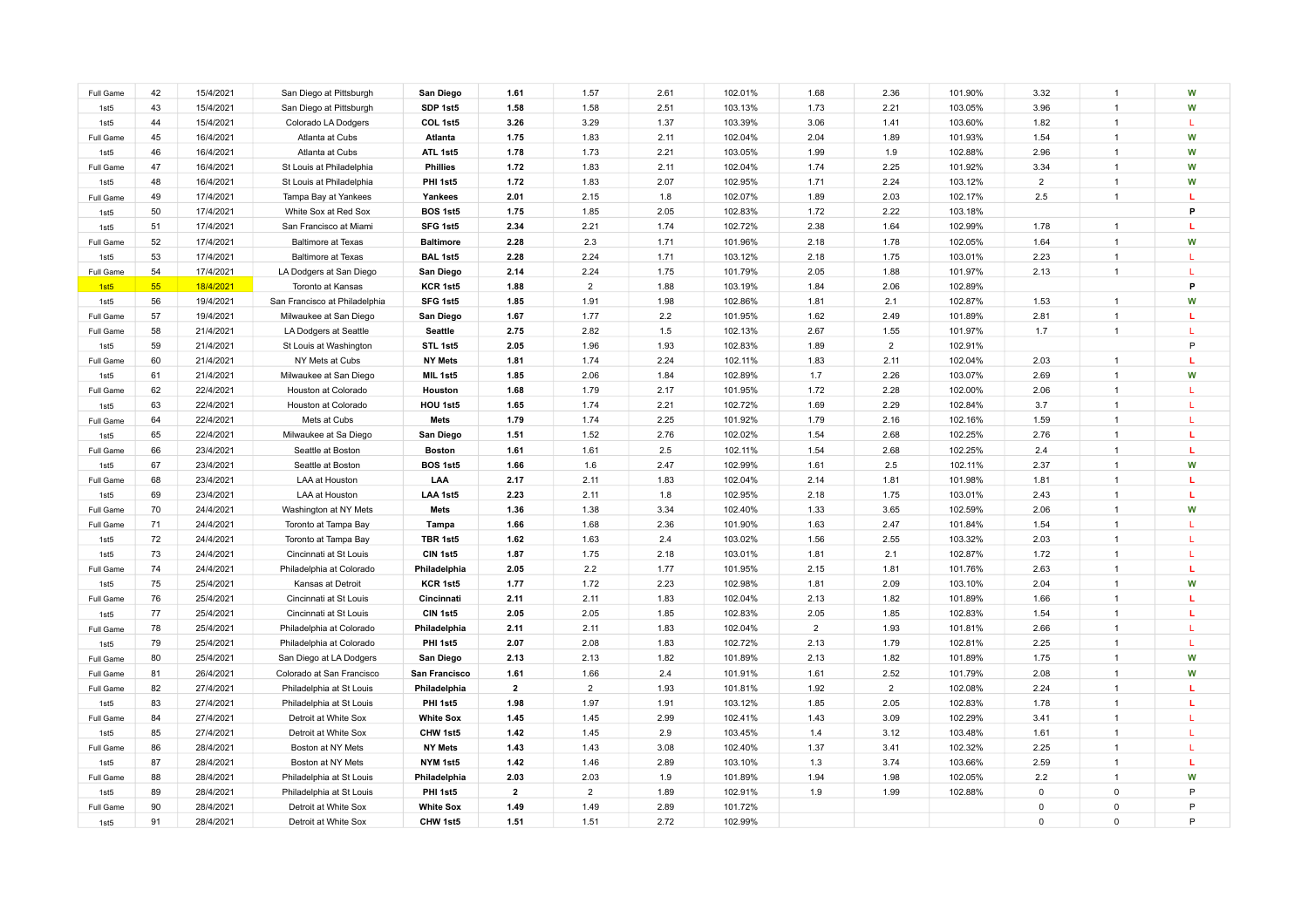| Full Game        | 42 | 15/4/2021 | San Diego at Pittsburgh       | San Diego        | 1.61         | 1.57           | 2.61 | 102.01% | 1.68           | 2.36           | 101.90% | 3.32           | $\overline{1}$       | W  |
|------------------|----|-----------|-------------------------------|------------------|--------------|----------------|------|---------|----------------|----------------|---------|----------------|----------------------|----|
| 1st5             | 43 | 15/4/2021 | San Diego at Pittsburgh       | SDP 1st5         | 1.58         | 1.58           | 2.51 | 103.13% | 1.73           | 2.21           | 103.05% | 3.96           | $\overline{1}$       | W  |
| 1st5             | 44 | 15/4/2021 | Colorado LA Dodgers           | COL 1st5         | 3.26         | 3.29           | 1.37 | 103.39% | 3.06           | 1.41           | 103.60% | 1.82           | $\overline{1}$       | T. |
| Full Game        | 45 | 16/4/2021 | Atlanta at Cubs               | Atlanta          | 1.75         | 1.83           | 2.11 | 102.04% | 2.04           | 1.89           | 101.93% | 1.54           |                      | W  |
| 1st5             | 46 | 16/4/2021 | Atlanta at Cubs               | ATL 1st5         | 1.78         | 1.73           | 2.21 | 103.05% | 1.99           | 1.9            | 102.88% | 2.96           |                      | W  |
| Full Game        | 47 | 16/4/2021 | St Louis at Philadelphia      | <b>Phillies</b>  | 1.72         | 1.83           | 2.11 | 102.04% | 1.74           | 2.25           | 101.92% | 3.34           |                      | W  |
| 1st <sub>5</sub> | 48 | 16/4/2021 | St Louis at Philadelphia      | PHI 1st5         | 1.72         | 1.83           | 2.07 | 102.95% | 1.71           | 2.24           | 103.12% | $\overline{2}$ |                      | W  |
| Full Game        | 49 | 17/4/2021 | Tampa Bay at Yankees          | Yankees          | 2.01         | 2.15           | 1.8  | 102.07% | 1.89           | 2.03           | 102.17% | 2.5            | $\overline{1}$       | L  |
| 1st5             | 50 | 17/4/2021 | White Sox at Red Sox          | <b>BOS 1st5</b>  | 1.75         | 1.85           | 2.05 | 102.83% | 1.72           | 2.22           | 103.18% |                |                      | P  |
| 1st5             | 51 | 17/4/2021 | San Francisco at Miami        | SFG 1st5         | 2.34         | 2.21           | 1.74 | 102.72% | 2.38           | 1.64           | 102.99% | 1.78           | $\overline{1}$       |    |
| Full Game        | 52 | 17/4/2021 | <b>Baltimore at Texas</b>     | <b>Baltimore</b> | 2.28         | 2.3            | 1.71 | 101.96% | 2.18           | 1.78           | 102.05% | 1.64           |                      | W  |
| 1st5             | 53 | 17/4/2021 | <b>Baltimore at Texas</b>     | <b>BAL 1st5</b>  | 2.28         | 2.24           | 1.71 | 103.12% | 2.18           | 1.75           | 103.01% | 2.23           | $\overline{1}$       | L  |
| Full Game        | 54 | 17/4/2021 | LA Dodgers at San Diego       | San Diego        | 2.14         | 2.24           | 1.75 | 101.79% | 2.05           | 1.88           | 101.97% | 2.13           | $\mathbf{1}$         | L  |
| 1st <sub>5</sub> | 55 | 18/4/2021 | Toronto at Kansas             | KCR 1st5         | 1.88         | $\overline{2}$ | 1.88 | 103.19% | 1.84           | 2.06           | 102.89% |                |                      | P  |
| 1st5             | 56 | 19/4/2021 | San Francisco at Philadelphia | SFG 1st5         | 1.85         | 1.91           | 1.98 | 102.86% | 1.81           | 2.1            | 102.87% | 1.53           | $\mathbf{1}$         | W  |
| Full Game        | 57 | 19/4/2021 | Milwaukee at San Diego        | San Diego        | 1.67         | 1.77           | 2.2  | 101.95% | 1.62           | 2.49           | 101.89% | 2.81           | $\overline{1}$       | L  |
| Full Game        | 58 | 21/4/2021 | LA Dodgers at Seattle         | Seattle          | 2.75         | 2.82           | 1.5  | 102.13% | 2.67           | 1.55           | 101.97% | 1.7            | $\overline{1}$       | т. |
| 1st5             | 59 | 21/4/2021 | St Louis at Washington        | STL 1st5         | 2.05         | 1.96           | 1.93 | 102.83% | 1.89           | $\overline{2}$ | 102.91% |                |                      | P  |
| Full Game        | 60 | 21/4/2021 | NY Mets at Cubs               | <b>NY Mets</b>   | 1.81         | 1.74           | 2.24 | 102.11% | 1.83           | 2.11           | 102.04% | 2.03           | $\mathbf{1}$         | T. |
| 1st5             | 61 | 21/4/2021 | Milwaukee at San Diego        | MIL 1st5         | 1.85         | 2.06           | 1.84 | 102.89% | 1.7            | 2.26           | 103.07% | 2.69           | $\blacktriangleleft$ | W  |
| Full Game        | 62 | 22/4/2021 | Houston at Colorado           | Houston          | 1.68         | 1.79           | 2.17 | 101.95% | 1.72           | 2.28           | 102.00% | 2.06           | $\overline{1}$       | L  |
| 1st5             | 63 | 22/4/2021 | Houston at Colorado           | HOU 1st5         | 1.65         | 1.74           | 2.21 | 102.72% | 1.69           | 2.29           | 102.84% | 3.7            | $\overline{1}$       | L. |
| Full Game        | 64 | 22/4/2021 | Mets at Cubs                  | Mets             | 1.79         | 1.74           | 2.25 | 101.92% | 1.79           | 2.16           | 102.16% | 1.59           | $\overline{1}$       | L  |
| 1st5             | 65 | 22/4/2021 | Milwaukee at Sa Diego         | San Diego        | 1.51         | 1.52           | 2.76 | 102.02% | 1.54           | 2.68           | 102.25% | 2.76           | $\overline{1}$       | т. |
| Full Game        | 66 | 23/4/2021 | Seattle at Boston             | <b>Boston</b>    | 1.61         | 1.61           | 2.5  | 102.11% | 1.54           | 2.68           | 102.25% | 2.4            | $\overline{1}$       | T. |
| 1st5             | 67 | 23/4/2021 | Seattle at Boston             | <b>BOS 1st5</b>  | 1.66         | 1.6            | 2.47 | 102.99% | 1.61           | 2.5            | 102.11% | 2.37           | $\overline{1}$       | W  |
| Full Game        | 68 | 23/4/2021 | LAA at Houston                | LAA              | 2.17         | 2.11           | 1.83 | 102.04% | 2.14           | 1.81           | 101.98% | 1.81           | $\overline{1}$       | L  |
| 1st <sub>5</sub> | 69 | 23/4/2021 | LAA at Houston                | LAA 1st5         | 2.23         | 2.11           | 1.8  | 102.95% | 2.18           | 1.75           | 103.01% | 2.43           | $\overline{1}$       | T. |
| Full Game        | 70 | 24/4/2021 | Washington at NY Mets         | Mets             | 1.36         | 1.38           | 3.34 | 102.40% | 1.33           | 3.65           | 102.59% | 2.06           | $\overline{1}$       | W  |
| Full Game        | 71 | 24/4/2021 | Toronto at Tampa Bay          | Tampa            | 1.66         | 1.68           | 2.36 | 101.90% | 1.63           | 2.47           | 101.84% | 1.54           | $\overline{1}$       | T. |
| 1st5             | 72 | 24/4/2021 | Toronto at Tampa Bay          | TBR 1st5         | 1.62         | 1.63           | 2.4  | 103.02% | 1.56           | 2.55           | 103.32% | 2.03           | $\overline{1}$       | т. |
| 1st5             | 73 | 24/4/2021 | Cincinnati at St Louis        | CIN 1st5         | 1.87         | 1.75           | 2.18 | 103.01% | 1.81           | 2.1            | 102.87% | 1.72           | $\overline{1}$       | L  |
| Full Game        | 74 | 24/4/2021 | Philadelphia at Colorado      | Philadelphia     | 2.05         | 2.2            | 1.77 | 101.95% | 2.15           | 1.81           | 101.76% | 2.63           | $\overline{1}$       | L  |
| 1st5             | 75 | 25/4/2021 | Kansas at Detroit             | KCR 1st5         | 1.77         | 1.72           | 2.23 | 102.98% | 1.81           | 2.09           | 103.10% | 2.04           | $\overline{1}$       | W  |
| Full Game        | 76 | 25/4/2021 | Cincinnati at St Louis        | Cincinnati       | 2.11         | 2.11           | 1.83 | 102.04% | 2.13           | 1.82           | 101.89% | 1.66           | $\overline{1}$       | T. |
| 1st5             | 77 | 25/4/2021 | Cincinnati at St Louis        | CIN 1st5         | 2.05         | 2.05           | 1.85 | 102.83% | 2.05           | 1.85           | 102.83% | 1.54           | $\overline{1}$       | т. |
| Full Game        | 78 | 25/4/2021 | Philadelphia at Colorado      | Philadelphia     | 2.11         | 2.11           | 1.83 | 102.04% | $\overline{2}$ | 1.93           | 101.81% | 2.66           | $\mathbf{1}$         | L  |
| 1st5             | 79 | 25/4/2021 | Philadelphia at Colorado      | PHI 1st5         | 2.07         | 2.08           | 1.83 | 102.72% | 2.13           | 1.79           | 102.81% | 2.25           | $\overline{1}$       | т. |
| Full Game        | 80 | 25/4/2021 | San Diego at LA Dodgers       | San Diego        | 2.13         | 2.13           | 1.82 | 101.89% | 2.13           | 1.82           | 101.89% | 1.75           | $\mathbf{1}$         | W  |
| Full Game        | 81 | 26/4/2021 | Colorado at San Francisco     | San Francisco    | 1.61         | 1.66           | 2.4  | 101.91% | 1.61           | 2.52           | 101.79% | 2.08           | $\mathbf{1}$         | W  |
| Full Game        | 82 | 27/4/2021 | Philadelphia at St Louis      | Philadelphia     | $\mathbf{2}$ | $\overline{2}$ | 1.93 | 101.81% | 1.92           | $\overline{2}$ | 102.08% | 2.24           | $\mathbf{1}$         | L  |
| 1st5             | 83 | 27/4/2021 | Philadelphia at St Louis      | PHI 1st5         | 1.98         | 1.97           | 1.91 | 103.12% | 1.85           | 2.05           | 102.83% | 1.78           | $\overline{1}$       | п  |
| Full Game        | 84 | 27/4/2021 | Detroit at White Sox          | <b>White Sox</b> | 1.45         | 1.45           | 2.99 | 102.41% | 1.43           | 3.09           | 102.29% | 3.41           | $\mathbf{1}$         | L  |
| 1st5             | 85 | 27/4/2021 | Detroit at White Sox          | CHW 1st5         | 1.42         | 1.45           | 2.9  | 103.45% | 1.4            | 3.12           | 103.48% | 1.61           | $\mathbf{1}$         | L  |
| Full Game        | 86 | 28/4/2021 | Boston at NY Mets             | <b>NY Mets</b>   | 1.43         | 1.43           | 3.08 | 102.40% | 1.37           | 3.41           | 102.32% | 2.25           | $\overline{1}$       | L  |
| 1st <sub>5</sub> | 87 | 28/4/2021 | Boston at NY Mets             | NYM 1st5         | 1.42         | 1.46           | 2.89 | 103.10% | 1.3            | 3.74           | 103.66% | 2.59           | $\overline{1}$       | L. |
| Full Game        | 88 | 28/4/2021 | Philadelphia at St Louis      | Philadelphia     | 2.03         | 2.03           | 1.9  | 101.89% | 1.94           | 1.98           | 102.05% | 2.2            | $\mathbf{1}$         | W  |
| 1st5             | 89 | 28/4/2021 | Philadelphia at St Louis      | PHI 1st5         | $\mathbf{2}$ | $\overline{2}$ | 1.89 | 102.91% | 1.9            | 1.99           | 102.88% | 0              | $\Omega$             | P  |
| Full Game        | 90 | 28/4/2021 | Detroit at White Sox          | <b>White Sox</b> | 1.49         | 1.49           | 2.89 | 101.72% |                |                |         | $\mathbf{0}$   | $\Omega$             | P  |
| 1st5             | 91 | 28/4/2021 | Detroit at White Sox          | CHW 1st5         | 1.51         | 1.51           | 2.72 | 102.99% |                |                |         | $\Omega$       | $\Omega$             | P  |
|                  |    |           |                               |                  |              |                |      |         |                |                |         |                |                      |    |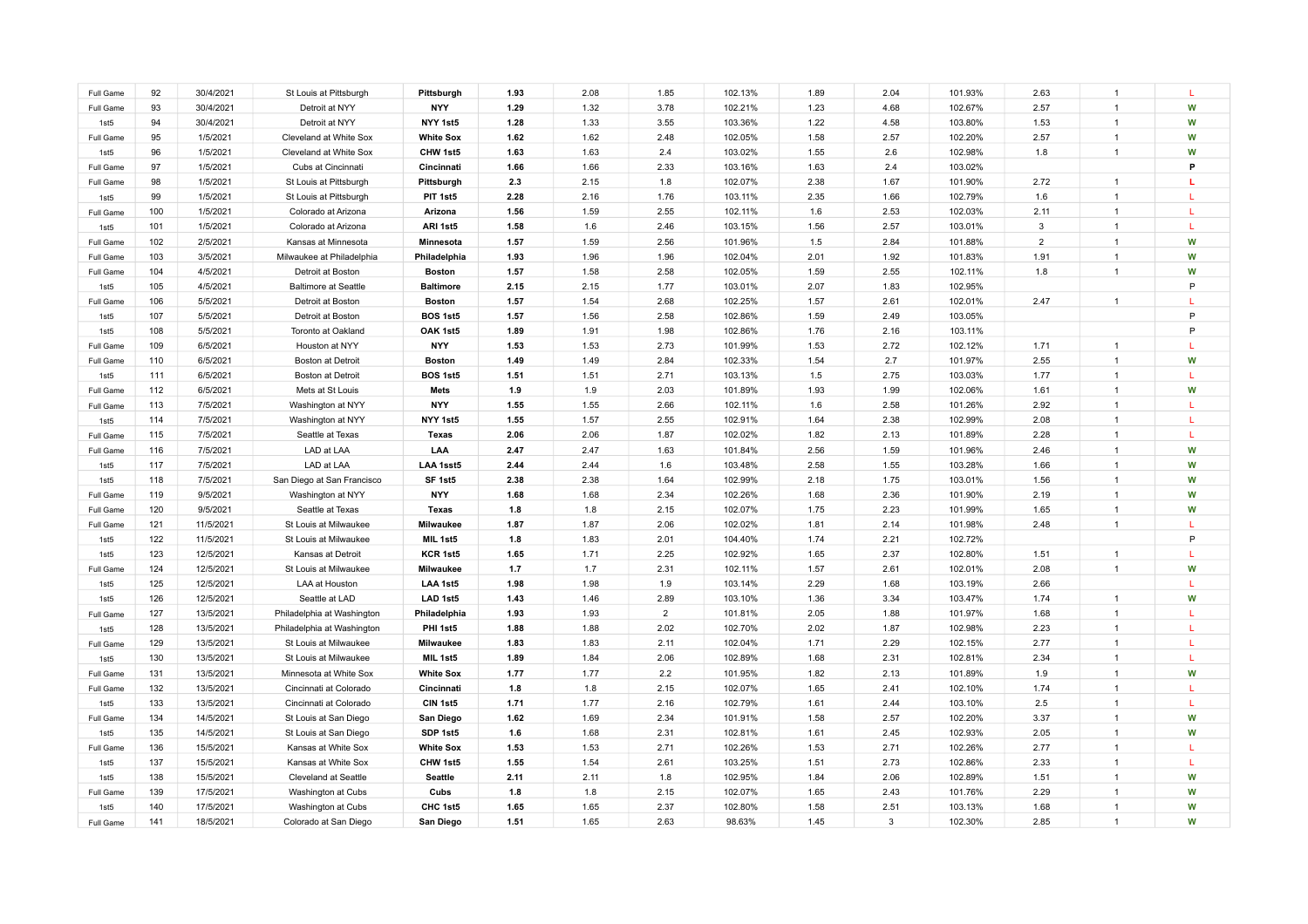| Full Game                     | 92         | 30/4/2021              | St Louis at Pittsburgh                          | Pittsburgh            | 1.93         | 2.08         | 1.85                   | 102.13%            | 1.89         | 2.04         | 101.93%            | 2.63           | $\overline{1}$                   |              |
|-------------------------------|------------|------------------------|-------------------------------------------------|-----------------------|--------------|--------------|------------------------|--------------------|--------------|--------------|--------------------|----------------|----------------------------------|--------------|
| Full Game                     | 93         | 30/4/2021              | Detroit at NYY                                  | <b>NYY</b>            | 1.29         | 1.32         | 3.78                   | 102.21%            | 1.23         | 4.68         | 102.67%            | 2.57           | $\overline{1}$                   | W            |
| 1st5                          | 94         | 30/4/2021              | Detroit at NYY                                  | NYY 1st5              | 1.28         | 1.33         | 3.55                   | 103.36%            | 1.22         | 4.58         | 103.80%            | 1.53           | $\overline{1}$                   | W            |
| Full Game                     | 95         | 1/5/2021               | Cleveland at White Sox                          | <b>White Sox</b>      | 1.62         | 1.62         | 2.48                   | 102.05%            | 1.58         | 2.57         | 102.20%            | 2.57           |                                  | W            |
| 1st5                          | 96         | 1/5/2021               | Cleveland at White Sox                          | CHW 1st5              | 1.63         | 1.63         | 2.4                    | 103.02%            | 1.55         | 2.6          | 102.98%            | 1.8            | $\overline{1}$                   | W            |
| Full Game                     | 97         | 1/5/2021               | Cubs at Cincinnati                              | Cincinnati            | 1.66         | 1.66         | 2.33                   | 103.16%            | 1.63         | 2.4          | 103.02%            |                |                                  | P            |
| Full Game                     | 98         | 1/5/2021               | St Louis at Pittsburgh                          | Pittsburgh            | 2.3          | 2.15         | 1.8                    | 102.07%            | 2.38         | 1.67         | 101.90%            | 2.72           | $\mathbf{1}$                     | L            |
| 1st5                          | 99         | 1/5/2021               | St Louis at Pittsburgh                          | PIT 1st5              | 2.28         | 2.16         | 1.76                   | 103.11%            | 2.35         | 1.66         | 102.79%            | 1.6            |                                  | L            |
| Full Game                     | 100        | 1/5/2021               | Colorado at Arizona                             | Arizona               | 1.56         | 1.59         | 2.55                   | 102.11%            | 1.6          | 2.53         | 102.03%            | 2.11           |                                  |              |
| 1st5                          | 101        | 1/5/2021               | Colorado at Arizona                             | ARI 1st5              | 1.58         | 1.6          | 2.46                   | 103.15%            | 1.56         | 2.57         | 103.01%            | $\mathbf{3}$   |                                  | L            |
| Full Game                     | 102        | 2/5/2021               | Kansas at Minnesota                             | Minnesota             | 1.57         | 1.59         | 2.56                   | 101.96%            | 1.5          | 2.84         | 101.88%            | $\overline{2}$ |                                  | W            |
| Full Game                     | 103        | 3/5/2021               | Milwaukee at Philadelphia                       | Philadelphia          | 1.93         | 1.96         | 1.96                   | 102.04%            | 2.01         | 1.92         | 101.83%            | 1.91           | $\mathbf{1}$                     | W            |
| Full Game                     | 104        | 4/5/2021               | Detroit at Boston                               | <b>Boston</b>         | 1.57         | 1.58         | 2.58                   | 102.05%            | 1.59         | 2.55         | 102.11%            | 1.8            | $\mathbf{1}$                     | W            |
| 1st5                          | 105        | 4/5/2021               | <b>Baltimore at Seattle</b>                     | <b>Baltimore</b>      | 2.15         | 2.15         | 1.77                   | 103.01%            | 2.07         | 1.83         | 102.95%            |                |                                  | P            |
| Full Game                     | 106        | 5/5/2021               | Detroit at Boston                               | <b>Boston</b>         | 1.57         | 1.54         | 2.68                   | 102.25%            | 1.57         | 2.61         | 102.01%            | 2.47           | $\mathbf{1}$                     | L.           |
|                               | 107        | 5/5/2021               |                                                 | BOS 1st5              | 1.57         | 1.56         | 2.58                   | 102.86%            | 1.59         | 2.49         | 103.05%            |                |                                  | P            |
| 1st5<br>1st5                  | 108        | 5/5/2021               | Detroit at Boston<br>Toronto at Oakland         | OAK 1st5              | 1.89         | 1.91         | 1.98                   | 102.86%            | 1.76         | 2.16         | 103.11%            |                |                                  | P            |
|                               | 109        | 6/5/2021               | Houston at NYY                                  | <b>NYY</b>            | 1.53         | 1.53         | 2.73                   | 101.99%            | 1.53         | 2.72         | 102.12%            | 1.71           | $\overline{1}$                   | T.           |
| Full Game                     | 110        | 6/5/2021               | Boston at Detroit                               | <b>Boston</b>         | 1.49         | 1.49         | 2.84                   | 102.33%            | 1.54         | 2.7          | 101.97%            | 2.55           | $\overline{1}$                   | W            |
| Full Game<br>1st <sub>5</sub> | 111        | 6/5/2021               | Boston at Detroit                               | BOS 1st5              | 1.51         | 1.51         | 2.71                   | 103.13%            | 1.5          | 2.75         | 103.03%            | 1.77           | $\overline{1}$                   | т.           |
|                               | 112        | 6/5/2021               | Mets at St Louis                                | <b>Mets</b>           | 1.9          | 1.9          | 2.03                   | 101.89%            | 1.93         | 1.99         | 102.06%            | 1.61           | $\overline{1}$                   | W            |
| Full Game                     | 113        | 7/5/2021               |                                                 | <b>NYY</b>            |              |              |                        | 102.11%            |              |              |                    | 2.92           | $\overline{1}$                   | T.           |
| Full Game                     | 114        | 7/5/2021               | Washington at NYY                               | NYY 1st5              | 1.55<br>1.55 | 1.55<br>1.57 | 2.66<br>2.55           | 102.91%            | 1.6<br>1.64  | 2.58<br>2.38 | 101.26%<br>102.99% | 2.08           | $\overline{1}$                   | т.           |
| 1st5<br>Full Game             | 115        | 7/5/2021               | Washington at NYY<br>Seattle at Texas           | <b>Texas</b>          | 2.06         | 2.06         | 1.87                   | 102.02%            |              | 2.13         | 101.89%            | 2.28           | $\overline{1}$                   | $\mathbf{L}$ |
|                               |            |                        | LAD at LAA                                      | LAA                   | 2.47         | 2.47         |                        |                    | 1.82         | 1.59         |                    | 2.46           | $\overline{1}$                   | W            |
| Full Game                     | 116<br>117 | 7/5/2021               |                                                 | LAA 1sst5             | 2.44         | 2.44         | 1.63                   | 101.84%            | 2.56         |              | 101.96%            |                | $\overline{1}$                   | W            |
| 1st5                          |            | 7/5/2021               | LAD at LAA                                      |                       |              |              | 1.6                    | 103.48%            | 2.58         | 1.55         | 103.28%            | 1.66           | $\overline{1}$                   |              |
| 1st <sub>5</sub>              | 118<br>119 | 7/5/2021<br>9/5/2021   | San Diego at San Francisco<br>Washington at NYY | SF 1st5<br><b>NYY</b> | 2.38<br>1.68 | 2.38<br>1.68 | 1.64<br>2.34           | 102.99%<br>102.26% | 2.18<br>1.68 | 1.75<br>2.36 | 103.01%<br>101.90% | 1.56<br>2.19   | $\overline{1}$                   | W<br>W       |
| Full Game                     |            |                        |                                                 |                       |              |              |                        |                    |              |              |                    |                | $\overline{1}$                   |              |
| Full Game                     | 120        | 9/5/2021               | Seattle at Texas                                | <b>Texas</b>          | 1.8<br>1.87  | 1.8<br>1.87  | 2.15                   | 102.07%            | 1.75         | 2.23         | 101.99%            | 1.65           | $\mathbf{1}$                     | W<br>L       |
| Full Game                     | 121        | 11/5/2021              | St Louis at Milwaukee                           | Milwaukee             |              |              | 2.06                   | 102.02%            | 1.81         | 2.14         | 101.98%            | 2.48           |                                  | P            |
| 1st5                          | 122<br>123 | 11/5/2021<br>12/5/2021 | St Louis at Milwaukee<br>Kansas at Detroit      | MIL 1st5<br>KCR 1st5  | 1.8<br>1.65  | 1.83<br>1.71 | 2.01<br>2.25           | 104.40%<br>102.92% | 1.74<br>1.65 | 2.21<br>2.37 | 102.72%<br>102.80% | 1.51           | $\mathbf{1}$                     | L            |
| 1st5                          | 124        | 12/5/2021              | St Louis at Milwaukee                           | Milwaukee             | 1.7          | 1.7          | 2.31                   | 102.11%            | 1.57         | 2.61         | 102.01%            | 2.08           | $\mathbf{1}$                     | W            |
| Full Game                     |            |                        |                                                 |                       |              |              |                        |                    |              |              |                    |                |                                  |              |
| 1st5                          | 125        | 12/5/2021              | LAA at Houston                                  | LAA 1st5              | 1.98         | 1.98         | 1.9                    | 103.14%            | 2.29         | 1.68         | 103.19%            | 2.66           |                                  | W            |
| 1st5                          | 126<br>127 | 12/5/2021              | Seattle at LAD                                  | LAD 1st5              | 1.43         | 1.46         | 2.89                   | 103.10%            | 1.36         | 3.34         | 103.47%            | 1.74           | $\mathbf{1}$                     |              |
| Full Game                     |            | 13/5/2021              | Philadelphia at Washington                      | Philadelphia          | 1.93<br>1.88 | 1.93         | $\overline{2}$<br>2.02 | 101.81%            | 2.05         | 1.88         | 101.97%            | 1.68           | $\overline{1}$<br>$\overline{1}$ | ı.<br>L      |
| 1st5                          | 128        | 13/5/2021              | Philadelphia at Washington                      | PHI 1st5              |              | 1.88         |                        | 102.70%            | 2.02         | 1.87         | 102.98%            | 2.23           |                                  | L            |
| Full Game                     | 129        | 13/5/2021              | St Louis at Milwaukee                           | Milwaukee             | 1.83         | 1.83         | 2.11                   | 102.04%            | 1.71         | 2.29         | 102.15%            | 2.77           | $\mathbf{1}$<br>$\overline{1}$   |              |
| 1st5                          | 130        | 13/5/2021              | St Louis at Milwaukee                           | MIL 1st5              | 1.89         | 1.84         | 2.06                   | 102.89%            | 1.68         | 2.31         | 102.81%            | 2.34           |                                  | L            |
| Full Game                     | 131        | 13/5/2021              | Minnesota at White Sox                          | <b>White Sox</b>      | 1.77         | 1.77         | 2.2                    | 101.95%            | 1.82         | 2.13         | 101.89%            | 1.9            | -1                               | W            |
| Full Game                     | 132        | 13/5/2021              | Cincinnati at Colorado                          | Cincinnati            | 1.8          | 1.8          | 2.15                   | 102.07%            | 1.65         | 2.41         | 102.10%            | 1.74           | $\overline{1}$                   | L            |
| 1st5                          | 133        | 13/5/2021              | Cincinnati at Colorado                          | CIN 1st5              | 1.71         | 1.77         | 2.16                   | 102.79%            | 1.61         | 2.44         | 103.10%            | 2.5            | $\overline{1}$                   | L            |
| Full Game                     | 134        | 14/5/2021              | St Louis at San Diego                           | San Diego             | 1.62         | 1.69         | 2.34                   | 101.91%            | 1.58         | 2.57         | 102.20%            | 3.37           |                                  | W            |
| 1st5                          | 135        | 14/5/2021              | St Louis at San Diego                           | SDP 1st5              | 1.6          | 1.68         | 2.31                   | 102.81%            | 1.61         | 2.45         | 102.93%            | 2.05           |                                  | W            |
| Full Game                     | 136        | 15/5/2021              | Kansas at White Sox                             | <b>White Sox</b>      | 1.53         | 1.53         | 2.71                   | 102.26%            | 1.53         | 2.71         | 102.26%            | 2.77           |                                  | L            |
| 1st5                          | 137        | 15/5/2021              | Kansas at White Sox                             | CHW 1st5              | 1.55         | 1.54         | 2.61                   | 103.25%            | 1.51         | 2.73         | 102.86%            | 2.33           |                                  | L            |
| 1st5                          | 138        | 15/5/2021              | Cleveland at Seattle                            | <b>Seattle</b>        | 2.11         | 2.11         | 1.8                    | 102.95%            | 1.84         | 2.06         | 102.89%            | 1.51           |                                  | W            |
| Full Game                     | 139        | 17/5/2021              | Washington at Cubs                              | Cubs                  | 1.8          | 1.8          | 2.15                   | 102.07%            | 1.65         | 2.43         | 101.76%            | 2.29           |                                  | W            |
| 1st5                          | 140        | 17/5/2021              | Washington at Cubs                              | CHC 1st5              | 1.65         | 1.65         | 2.37                   | 102.80%            | 1.58         | 2.51         | 103.13%            | 1.68           |                                  | W            |
| Full Game                     | 141        | 18/5/2021              | Colorado at San Diego                           | San Diego             | 1.51         | 1.65         | 2.63                   | 98.63%             | 1.45         | 3            | 102.30%            | 2.85           |                                  | W            |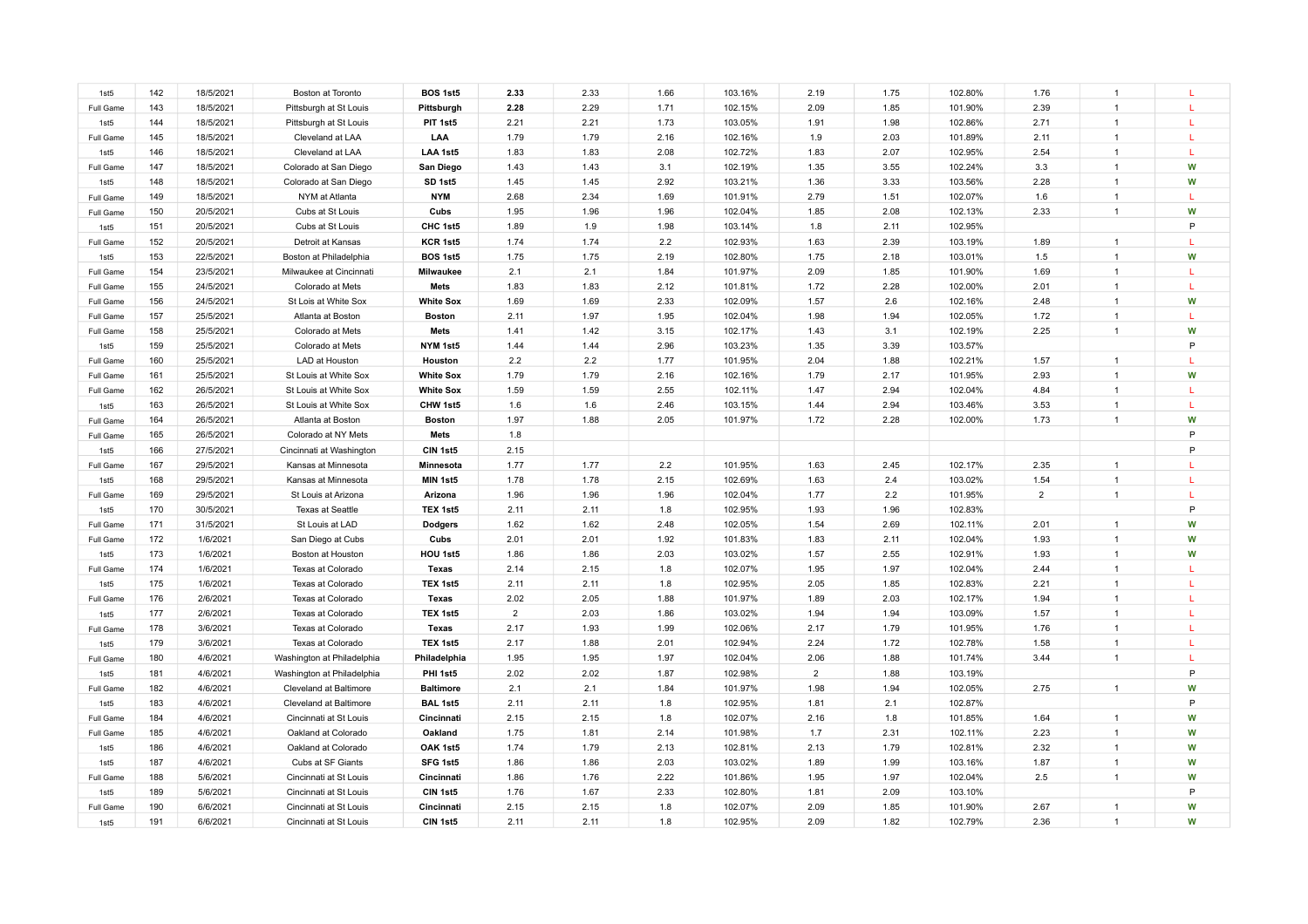| 1st5             | 142 | 18/5/2021 | Boston at Toronto          | BOS 1st5         | 2.33           | 2.33 | 1.66 | 103.16% | 2.19           | 1.75 | 102.80% | 1.76           | $\overline{1}$ |              |
|------------------|-----|-----------|----------------------------|------------------|----------------|------|------|---------|----------------|------|---------|----------------|----------------|--------------|
|                  | 143 | 18/5/2021 |                            |                  | 2.28           | 2.29 | 1.71 | 102.15% | 2.09           | 1.85 | 101.90% | 2.39           | $\mathbf{1}$   |              |
| Full Game        | 144 |           | Pittsburgh at St Louis     | Pittsburgh       |                | 2.21 |      |         | 1.91           |      |         | 2.71           | $\overline{1}$ |              |
| 1st5             |     | 18/5/2021 | Pittsburgh at St Louis     | PIT 1st5         | 2.21           |      | 1.73 | 103.05% |                | 1.98 | 102.86% |                |                |              |
| Full Game        | 145 | 18/5/2021 | Cleveland at LAA           | LAA              | 1.79           | 1.79 | 2.16 | 102.16% | 1.9            | 2.03 | 101.89% | 2.11           | $\overline{1}$ |              |
| 1st5             | 146 | 18/5/2021 | Cleveland at LAA           | LAA 1st5         | 1.83           | 1.83 | 2.08 | 102.72% | 1.83           | 2.07 | 102.95% | 2.54           | $\overline{1}$ |              |
| Full Game        | 147 | 18/5/2021 | Colorado at San Diego      | San Diego        | 1.43           | 1.43 | 3.1  | 102.19% | 1.35           | 3.55 | 102.24% | 3.3            | $\overline{1}$ | W            |
| 1st5             | 148 | 18/5/2021 | Colorado at San Diego      | SD 1st5          | 1.45           | 1.45 | 2.92 | 103.21% | 1.36           | 3.33 | 103.56% | 2.28           | $\mathbf{1}$   | W            |
| Full Game        | 149 | 18/5/2021 | NYM at Atlanta             | <b>NYM</b>       | 2.68           | 2.34 | 1.69 | 101.91% | 2.79           | 1.51 | 102.07% | 1.6            | $\mathbf{1}$   | L            |
| Full Game        | 150 | 20/5/2021 | Cubs at St Louis           | Cubs             | 1.95           | 1.96 | 1.96 | 102.04% | 1.85           | 2.08 | 102.13% | 2.33           | $\overline{1}$ | W            |
| 1st5             | 151 | 20/5/2021 | Cubs at St Louis           | CHC 1st5         | 1.89           | 1.9  | 1.98 | 103.14% | 1.8            | 2.11 | 102.95% |                |                | P            |
| Full Game        | 152 | 20/5/2021 | Detroit at Kansas          | KCR 1st5         | 1.74           | 1.74 | 2.2  | 102.93% | 1.63           | 2.39 | 103.19% | 1.89           | $\overline{1}$ |              |
| 1st5             | 153 | 22/5/2021 | Boston at Philadelphia     | BOS 1st5         | 1.75           | 1.75 | 2.19 | 102.80% | 1.75           | 2.18 | 103.01% | 1.5            | $\overline{1}$ | W            |
| Full Game        | 154 | 23/5/2021 | Milwaukee at Cincinnati    | Milwaukee        | 2.1            | 2.1  | 1.84 | 101.97% | 2.09           | 1.85 | 101.90% | 1.69           | $\mathbf{1}$   |              |
| Full Game        | 155 | 24/5/2021 | Colorado at Mets           | Mets             | 1.83           | 1.83 | 2.12 | 101.81% | 1.72           | 2.28 | 102.00% | 2.01           | $\mathbf{1}$   | L.           |
| Full Game        | 156 | 24/5/2021 | St Lois at White Sox       | <b>White Sox</b> | 1.69           | 1.69 | 2.33 | 102.09% | 1.57           | 2.6  | 102.16% | 2.48           | $\mathbf{1}$   | W            |
| Full Game        | 157 | 25/5/2021 | Atlanta at Boston          | <b>Boston</b>    | 2.11           | 1.97 | 1.95 | 102.04% | 1.98           | 1.94 | 102.05% | 1.72           | $\mathbf{1}$   |              |
| Full Game        | 158 | 25/5/2021 | Colorado at Mets           | Mets             | 1.41           | 1.42 | 3.15 | 102.17% | 1.43           | 3.1  | 102.19% | 2.25           | $\mathbf{1}$   | W            |
| 1st <sub>5</sub> | 159 | 25/5/2021 | Colorado at Mets           | NYM 1st5         | 1.44           | 1.44 | 2.96 | 103.23% | 1.35           | 3.39 | 103.57% |                |                | P            |
| Full Game        | 160 | 25/5/2021 | LAD at Houston             | Houston          | 2.2            | 2.2  | 1.77 | 101.95% | 2.04           | 1.88 | 102.21% | 1.57           | $\mathbf{1}$   | $\mathbf{L}$ |
| Full Game        | 161 | 25/5/2021 | St Louis at White Sox      | <b>White Sox</b> | 1.79           | 1.79 | 2.16 | 102.16% | 1.79           | 2.17 | 101.95% | 2.93           | $\overline{1}$ | W            |
| Full Game        | 162 | 26/5/2021 | St Louis at White Sox      | <b>White Sox</b> | 1.59           | 1.59 | 2.55 | 102.11% | 1.47           | 2.94 | 102.04% | 4.84           | $\overline{1}$ | T.           |
| 1st5             | 163 | 26/5/2021 | St Louis at White Sox      | CHW 1st5         | 1.6            | 1.6  | 2.46 | 103.15% | 1.44           | 2.94 | 103.46% | 3.53           | $\overline{1}$ | т.           |
| Full Game        | 164 | 26/5/2021 | Atlanta at Boston          | <b>Boston</b>    | 1.97           | 1.88 | 2.05 | 101.97% | 1.72           | 2.28 | 102.00% | 1.73           | $\mathbf{1}$   | W            |
| Full Game        | 165 | 26/5/2021 | Colorado at NY Mets        | Mets             | 1.8            |      |      |         |                |      |         |                |                | P            |
| 1st5             | 166 | 27/5/2021 | Cincinnati at Washington   | CIN 1st5         | 2.15           |      |      |         |                |      |         |                |                | P            |
| Full Game        | 167 | 29/5/2021 | Kansas at Minnesota        | Minnesota        | 1.77           | 1.77 | 2.2  | 101.95% | 1.63           | 2.45 | 102.17% | 2.35           | $\overline{1}$ |              |
| 1st5             | 168 | 29/5/2021 | Kansas at Minnesota        | MIN 1st5         | 1.78           | 1.78 | 2.15 | 102.69% | 1.63           | 2.4  | 103.02% | 1.54           | $\overline{1}$ | т.           |
| Full Game        | 169 | 29/5/2021 | St Louis at Arizona        | Arizona          | 1.96           | 1.96 | 1.96 | 102.04% | 1.77           | 2.2  | 101.95% | $\overline{2}$ | $\overline{1}$ |              |
| 1st5             | 170 | 30/5/2021 | <b>Texas at Seattle</b>    | TEX 1st5         | 2.11           | 2.11 | 1.8  | 102.95% | 1.93           | 1.96 | 102.83% |                |                | P            |
| Full Game        | 171 | 31/5/2021 | St Louis at LAD            | <b>Dodgers</b>   | 1.62           | 1.62 | 2.48 | 102.05% | 1.54           | 2.69 | 102.11% | 2.01           | $\mathbf{1}$   | W            |
| Full Game        | 172 | 1/6/2021  | San Diego at Cubs          | Cubs             | 2.01           | 2.01 | 1.92 | 101.83% | 1.83           | 2.11 | 102.04% | 1.93           | $\overline{1}$ | W            |
| 1st5             | 173 | 1/6/2021  | Boston at Houston          | HOU 1st5         | 1.86           | 1.86 | 2.03 | 103.02% | 1.57           | 2.55 | 102.91% | 1.93           | $\overline{1}$ | W            |
| Full Game        | 174 | 1/6/2021  | Texas at Colorado          | <b>Texas</b>     | 2.14           | 2.15 | 1.8  | 102.07% | 1.95           | 1.97 | 102.04% | 2.44           | $\mathbf{1}$   | т.           |
| 1st5             | 175 | 1/6/2021  | Texas at Colorado          | TEX 1st5         | 2.11           | 2.11 | 1.8  | 102.95% | 2.05           | 1.85 | 102.83% | 2.21           | $\overline{1}$ |              |
| Full Game        | 176 | 2/6/2021  | Texas at Colorado          | <b>Texas</b>     | 2.02           | 2.05 | 1.88 | 101.97% | 1.89           | 2.03 | 102.17% | 1.94           | $\mathbf{1}$   | т.           |
| 1st5             | 177 | 2/6/2021  | Texas at Colorado          | TEX 1st5         | $\overline{2}$ | 2.03 | 1.86 | 103.02% | 1.94           | 1.94 | 103.09% | 1.57           | $\mathbf{1}$   |              |
| Full Game        | 178 | 3/6/2021  | Texas at Colorado          | Texas            | 2.17           | 1.93 | 1.99 | 102.06% | 2.17           | 1.79 | 101.95% | 1.76           | $\mathbf{1}$   | L            |
| 1st5             | 179 | 3/6/2021  | Texas at Colorado          | TEX 1st5         | 2.17           | 1.88 | 2.01 | 102.94% | 2.24           | 1.72 | 102.78% | 1.58           | $\overline{1}$ |              |
| Full Game        | 180 | 4/6/2021  | Washington at Philadelphia | Philadelphia     | 1.95           | 1.95 | 1.97 | 102.04% | 2.06           | 1.88 | 101.74% | 3.44           | $\mathbf{1}$   |              |
| 1st5             | 181 | 4/6/2021  | Washington at Philadelphia | PHI 1st5         | 2.02           | 2.02 | 1.87 | 102.98% | $\overline{2}$ | 1.88 | 103.19% |                |                | P            |
| Full Game        | 182 | 4/6/2021  | Cleveland at Baltimore     | <b>Baltimore</b> | 2.1            | 2.1  | 1.84 | 101.97% | 1.98           | 1.94 | 102.05% | 2.75           | $\mathbf{1}$   | W            |
| 1st <sub>5</sub> | 183 | 4/6/2021  | Cleveland at Baltimore     | <b>BAL 1st5</b>  | 2.11           | 2.11 | 1.8  | 102.95% | 1.81           | 2.1  | 102.87% |                |                | P            |
| Full Game        | 184 | 4/6/2021  | Cincinnati at St Louis     | Cincinnati       | 2.15           | 2.15 | 1.8  | 102.07% | 2.16           | 1.8  | 101.85% | 1.64           | $\mathbf{1}$   | W            |
| Full Game        | 185 | 4/6/2021  | Oakland at Colorado        | Oakland          | 1.75           | 1.81 | 2.14 | 101.98% | 1.7            | 2.31 | 102.11% | 2.23           | $\mathbf{1}$   | W            |
| 1st5             | 186 | 4/6/2021  | Oakland at Colorado        | OAK 1st5         | 1.74           | 1.79 | 2.13 | 102.81% | 2.13           | 1.79 | 102.81% | 2.32           | $\mathbf{1}$   | W            |
| 1st5             | 187 | 4/6/2021  | Cubs at SF Giants          | SFG 1st5         | 1.86           | 1.86 | 2.03 | 103.02% | 1.89           | 1.99 | 103.16% | 1.87           | $\overline{1}$ | W            |
| Full Game        | 188 | 5/6/2021  | Cincinnati at St Louis     | Cincinnati       | 1.86           | 1.76 | 2.22 | 101.86% | 1.95           | 1.97 | 102.04% | 2.5            | $\mathbf{1}$   | W            |
| 1st5             | 189 | 5/6/2021  | Cincinnati at St Louis     | CIN 1st5         | 1.76           | 1.67 | 2.33 | 102.80% | 1.81           | 2.09 | 103.10% |                |                | P            |
| Full Game        | 190 | 6/6/2021  | Cincinnati at St Louis     | Cincinnati       | 2.15           | 2.15 | 1.8  | 102.07% | 2.09           | 1.85 | 101.90% | 2.67           | $\mathbf{1}$   | W            |
| 1st5             | 191 | 6/6/2021  | Cincinnati at St Louis     | CIN 1st5         | 2.11           | 2.11 | 1.8  | 102.95% | 2.09           | 1.82 | 102.79% | 2.36           | $\mathbf{1}$   | W            |
|                  |     |           |                            |                  |                |      |      |         |                |      |         |                |                |              |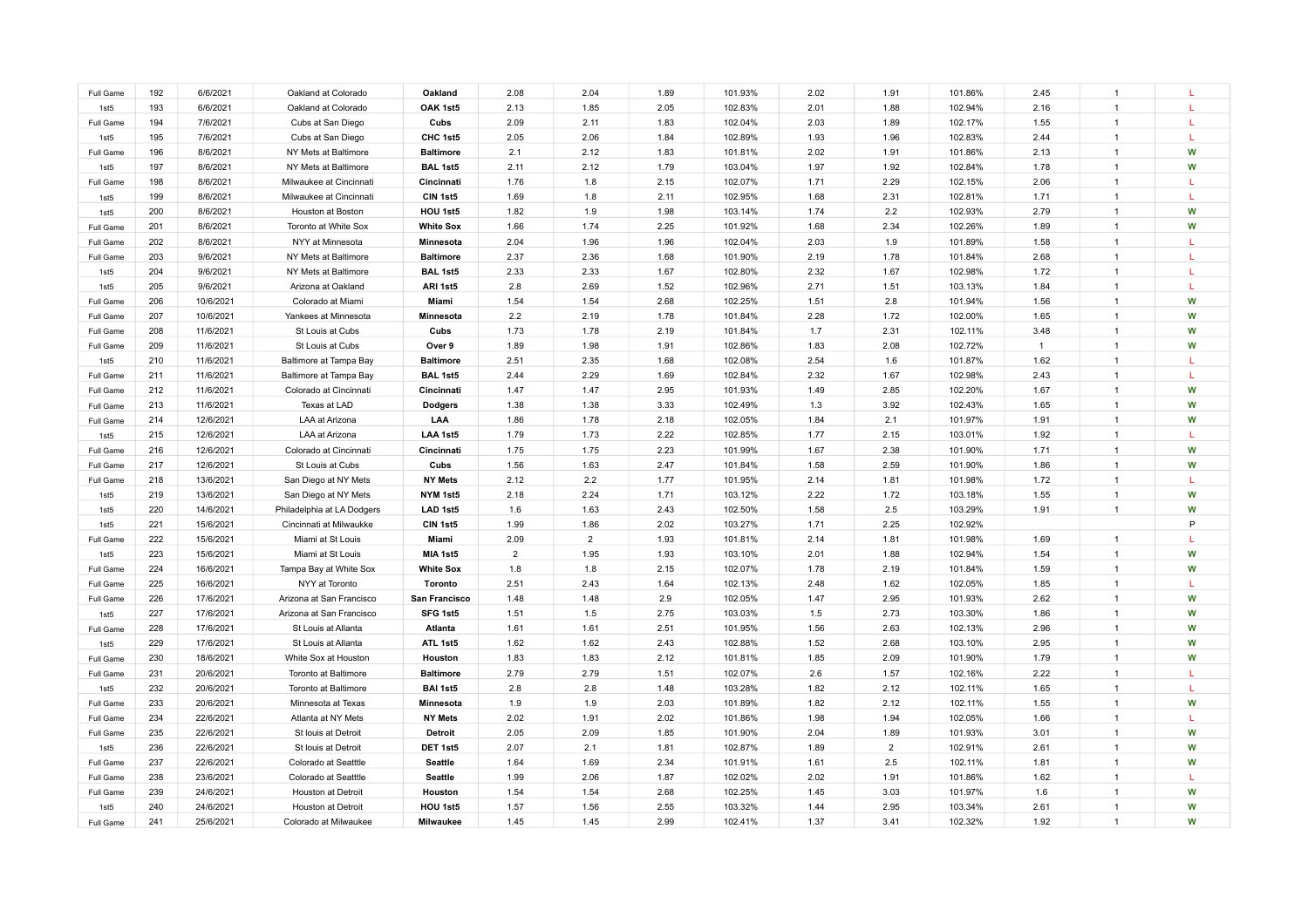| Full Game        | 192 | 6/6/2021  | Oakland at Colorado        | Oakland          | 2.08           | 2.04           | 1.89 | 101.93% | 2.02 | 1.91           | 101.86% | 2.45           | $\overline{1}$ |              |
|------------------|-----|-----------|----------------------------|------------------|----------------|----------------|------|---------|------|----------------|---------|----------------|----------------|--------------|
| 1st5             | 193 | 6/6/2021  | Oakland at Colorado        | OAK 1st5         | 2.13           | 1.85           | 2.05 | 102.83% | 2.01 | 1.88           | 102.94% | 2.16           |                |              |
| Full Game        | 194 | 7/6/2021  | Cubs at San Diego          | Cubs             | 2.09           | 2.11           | 1.83 | 102.04% | 2.03 | 1.89           | 102.17% | 1.55           |                | т.           |
| 1st5             | 195 | 7/6/2021  | Cubs at San Diego          | CHC 1st5         | 2.05           | 2.06           | 1.84 | 102.89% | 1.93 | 1.96           | 102.83% | 2.44           |                | L            |
| Full Game        | 196 | 8/6/2021  | NY Mets at Baltimore       | <b>Baltimore</b> | 2.1            | 2.12           | 1.83 | 101.81% | 2.02 | 1.91           | 101.86% | 2.13           |                | W            |
| 1st5             | 197 | 8/6/2021  | NY Mets at Baltimore       | BAL 1st5         | 2.11           | 2.12           | 1.79 | 103.04% | 1.97 | 1.92           | 102.84% | 1.78           |                | W            |
| Full Game        | 198 | 8/6/2021  | Milwaukee at Cincinnati    | Cincinnati       | 1.76           | 1.8            | 2.15 | 102.07% | 1.71 | 2.29           | 102.15% | 2.06           | $\mathbf{1}$   | L            |
| 1st5             | 199 | 8/6/2021  | Milwaukee at Cincinnati    | CIN 1st5         | 1.69           | 1.8            | 2.11 | 102.95% | 1.68 | 2.31           | 102.81% | 1.71           |                | L            |
| 1st5             | 200 | 8/6/2021  | Houston at Boston          | HOU 1st5         | 1.82           | 1.9            | 1.98 | 103.14% | 1.74 | 2.2            | 102.93% | 2.79           |                | W            |
| Full Game        | 201 | 8/6/2021  | Toronto at White Sox       | <b>White Sox</b> | 1.66           | 1.74           | 2.25 | 101.92% | 1.68 | 2.34           | 102.26% | 1.89           | $\mathbf{1}$   | W            |
| Full Game        | 202 | 8/6/2021  | NYY at Minnesota           | Minnesota        | 2.04           | 1.96           | 1.96 | 102.04% | 2.03 | 1.9            | 101.89% | 1.58           | $\overline{1}$ |              |
| Full Game        | 203 | 9/6/2021  | NY Mets at Baltimore       | <b>Baltimore</b> | 2.37           | 2.36           | 1.68 | 101.90% | 2.19 | 1.78           | 101.84% | 2.68           | $\overline{1}$ | L.           |
| 1st5             | 204 | 9/6/2021  | NY Mets at Baltimore       | BAL 1st5         | 2.33           | 2.33           | 1.67 | 102.80% | 2.32 | 1.67           | 102.98% | 1.72           | $\overline{1}$ | L.           |
| 1st5             | 205 | 9/6/2021  | Arizona at Oakland         | ARI 1st5         | 2.8            | 2.69           | 1.52 | 102.96% | 2.71 | 1.51           | 103.13% | 1.84           | $\overline{1}$ | L            |
| Full Game        | 206 | 10/6/2021 | Colorado at Miami          | Miami            | 1.54           | 1.54           | 2.68 | 102.25% | 1.51 | 2.8            | 101.94% | 1.56           | $\overline{1}$ | W            |
| Full Game        | 207 | 10/6/2021 | Yankees at Minnesota       | Minnesota        | 2.2            | 2.19           | 1.78 | 101.84% | 2.28 | 1.72           | 102.00% | 1.65           | $\overline{1}$ | W            |
| Full Game        | 208 | 11/6/2021 | St Louis at Cubs           | Cubs             | 1.73           | 1.78           | 2.19 | 101.84% | 1.7  | 2.31           | 102.11% | 3.48           | $\overline{1}$ | W            |
| Full Game        | 209 | 11/6/2021 | St Louis at Cubs           | Over 9           | 1.89           | 1.98           | 1.91 | 102.86% | 1.83 | 2.08           | 102.72% | $\overline{1}$ | $\overline{1}$ | W            |
| 1st <sub>5</sub> | 210 | 11/6/2021 | Baltimore at Tampa Bay     | <b>Baltimore</b> | 2.51           | 2.35           | 1.68 | 102.08% | 2.54 | 1.6            | 101.87% | 1.62           | $\overline{1}$ | L            |
| Full Game        | 211 | 11/6/2021 | Baltimore at Tampa Bay     | BAL 1st5         | 2.44           | 2.29           | 1.69 | 102.84% | 2.32 | 1.67           | 102.98% | 2.43           | $\overline{1}$ | $\mathbf{L}$ |
| Full Game        | 212 | 11/6/2021 | Colorado at Cincinnati     | Cincinnati       | 1.47           | 1.47           | 2.95 | 101.93% | 1.49 | 2.85           | 102.20% | 1.67           | $\overline{1}$ | W            |
| Full Game        | 213 | 11/6/2021 | Texas at LAD               | <b>Dodgers</b>   | 1.38           | 1.38           | 3.33 | 102.49% | 1.3  | 3.92           | 102.43% | 1.65           | $\overline{1}$ | W            |
| Full Game        | 214 | 12/6/2021 | LAA at Arizona             | LAA              | 1.86           | 1.78           | 2.18 | 102.05% | 1.84 | 2.1            | 101.97% | 1.91           | $\mathbf{1}$   | W            |
| 1st <sub>5</sub> | 215 | 12/6/2021 | LAA at Arizona             | LAA 1st5         | 1.79           | 1.73           | 2.22 | 102.85% | 1.77 | 2.15           | 103.01% | 1.92           | $\overline{1}$ | т.           |
| Full Game        | 216 | 12/6/2021 | Colorado at Cincinnati     | Cincinnati       | 1.75           | 1.75           | 2.23 | 101.99% | 1.67 | 2.38           | 101.90% | 1.71           | $\overline{1}$ | W            |
| Full Game        | 217 | 12/6/2021 | St Louis at Cubs           | Cubs             | 1.56           | 1.63           | 2.47 | 101.84% | 1.58 | 2.59           | 101.90% | 1.86           | $\overline{1}$ | W            |
| Full Game        | 218 | 13/6/2021 | San Diego at NY Mets       | <b>NY Mets</b>   | 2.12           | 2.2            | 1.77 | 101.95% | 2.14 | 1.81           | 101.98% | 1.72           | $\overline{1}$ | т.           |
| 1st5             | 219 | 13/6/2021 | San Diego at NY Mets       | NYM 1st5         | 2.18           | 2.24           | 1.71 | 103.12% | 2.22 | 1.72           | 103.18% | 1.55           | $\overline{1}$ | W            |
| 1st <sub>5</sub> | 220 | 14/6/2021 | Philadelphia at LA Dodgers | LAD 1st5         | 1.6            | 1.63           | 2.43 | 102.50% | 1.58 | 2.5            | 103.29% | 1.91           | $\mathbf{1}$   | W            |
| 1st <sub>5</sub> | 221 | 15/6/2021 | Cincinnati at Milwaukke    | CIN 1st5         | 1.99           | 1.86           | 2.02 | 103.27% | 1.71 | 2.25           | 102.92% |                |                | P            |
| Full Game        | 222 | 15/6/2021 | Miami at St Louis          | Miami            | 2.09           | $\overline{2}$ | 1.93 | 101.81% | 2.14 | 1.81           | 101.98% | 1.69           | $\overline{1}$ | L            |
| 1st5             | 223 | 15/6/2021 | Miami at St Louis          | MIA 1st5         | $\overline{2}$ | 1.95           | 1.93 | 103.10% | 2.01 | 1.88           | 102.94% | 1.54           | $\mathbf{1}$   | W            |
| Full Game        | 224 | 16/6/2021 | Tampa Bay at White Sox     | <b>White Sox</b> | 1.8            | 1.8            | 2.15 | 102.07% | 1.78 | 2.19           | 101.84% | 1.59           | $\mathbf{1}$   | W            |
| Full Game        | 225 | 16/6/2021 | NYY at Toronto             | Toronto          | 2.51           | 2.43           | 1.64 | 102.13% | 2.48 | 1.62           | 102.05% | 1.85           | $\overline{1}$ | T.           |
| Full Game        | 226 | 17/6/2021 | Arizona at San Francisco   | San Francisco    | 1.48           | 1.48           | 2.9  | 102.05% | 1.47 | 2.95           | 101.93% | 2.62           | $\overline{1}$ | W            |
| 1st5             | 227 | 17/6/2021 | Arizona at San Francisco   | SFG 1st5         | 1.51           | 1.5            | 2.75 | 103.03% | 1.5  | 2.73           | 103.30% | 1.86           | $\overline{1}$ | W            |
| Full Game        | 228 | 17/6/2021 | St Louis at Allanta        | Atlanta          | 1.61           | 1.61           | 2.51 | 101.95% | 1.56 | 2.63           | 102.13% | 2.96           | $\overline{1}$ | W            |
| 1st5             | 229 | 17/6/2021 | St Louis at Allanta        | ATL 1st5         | 1.62           | 1.62           | 2.43 | 102.88% | 1.52 | 2.68           | 103.10% | 2.95           | $\overline{1}$ | W            |
| Full Game        | 230 | 18/6/2021 | White Sox at Houston       | Houston          | 1.83           | 1.83           | 2.12 | 101.81% | 1.85 | 2.09           | 101.90% | 1.79           | $\overline{1}$ | W            |
| Full Game        | 231 | 20/6/2021 | Toronto at Baltimore       | <b>Baltimore</b> | 2.79           | 2.79           | 1.51 | 102.07% | 2.6  | 1.57           | 102.16% | 2.22           | $\mathbf{1}$   | L            |
| 1st5             | 232 | 20/6/2021 | Toronto at Baltimore       | <b>BAI 1st5</b>  | 2.8            | 2.8            | 1.48 | 103.28% | 1.82 | 2.12           | 102.11% | 1.65           | $\overline{1}$ | L.           |
| Full Game        | 233 | 20/6/2021 | Minnesota at Texas         | Minnesota        | 1.9            | 1.9            | 2.03 | 101.89% | 1.82 | 2.12           | 102.11% | 1.55           | $\overline{1}$ | W            |
| Full Game        | 234 | 22/6/2021 | Atlanta at NY Mets         | <b>NY Mets</b>   | 2.02           | 1.91           | 2.02 | 101.86% | 1.98 | 1.94           | 102.05% | 1.66           | $\overline{1}$ | L            |
| Full Game        | 235 | 22/6/2021 | St louis at Detroit        | Detroit          | 2.05           | 2.09           | 1.85 | 101.90% | 2.04 | 1.89           | 101.93% | 3.01           | -1             | W            |
| 1st5             | 236 | 22/6/2021 | St louis at Detroit        | DET 1st5         | 2.07           | 2.1            | 1.81 | 102.87% | 1.89 | $\overline{2}$ | 102.91% | 2.61           | $\mathbf{1}$   | W            |
| Full Game        | 237 | 22/6/2021 | Colorado at Seatttle       | <b>Seattle</b>   | 1.64           | 1.69           | 2.34 | 101.91% | 1.61 | 2.5            | 102.11% | 1.81           | $\overline{1}$ | W            |
| Full Game        | 238 | 23/6/2021 | Colorado at Seatttle       | <b>Seattle</b>   | 1.99           | 2.06           | 1.87 | 102.02% | 2.02 | 1.91           | 101.86% | 1.62           |                | L            |
| Full Game        | 239 | 24/6/2021 | Houston at Detroit         | Houston          | 1.54           | 1.54           | 2.68 | 102.25% | 1.45 | 3.03           | 101.97% | 1.6            |                | W            |
| 1st5             | 240 | 24/6/2021 | Houston at Detroit         | HOU 1st5         | 1.57           | 1.56           | 2.55 | 103.32% | 1.44 | 2.95           | 103.34% | 2.61           | $\overline{1}$ | W            |
| Full Game        | 241 | 25/6/2021 | Colorado at Milwaukee      | Milwaukee        | 1.45           | 1.45           | 2.99 | 102.41% | 1.37 | 3.41           | 102.32% | 1.92           |                | W            |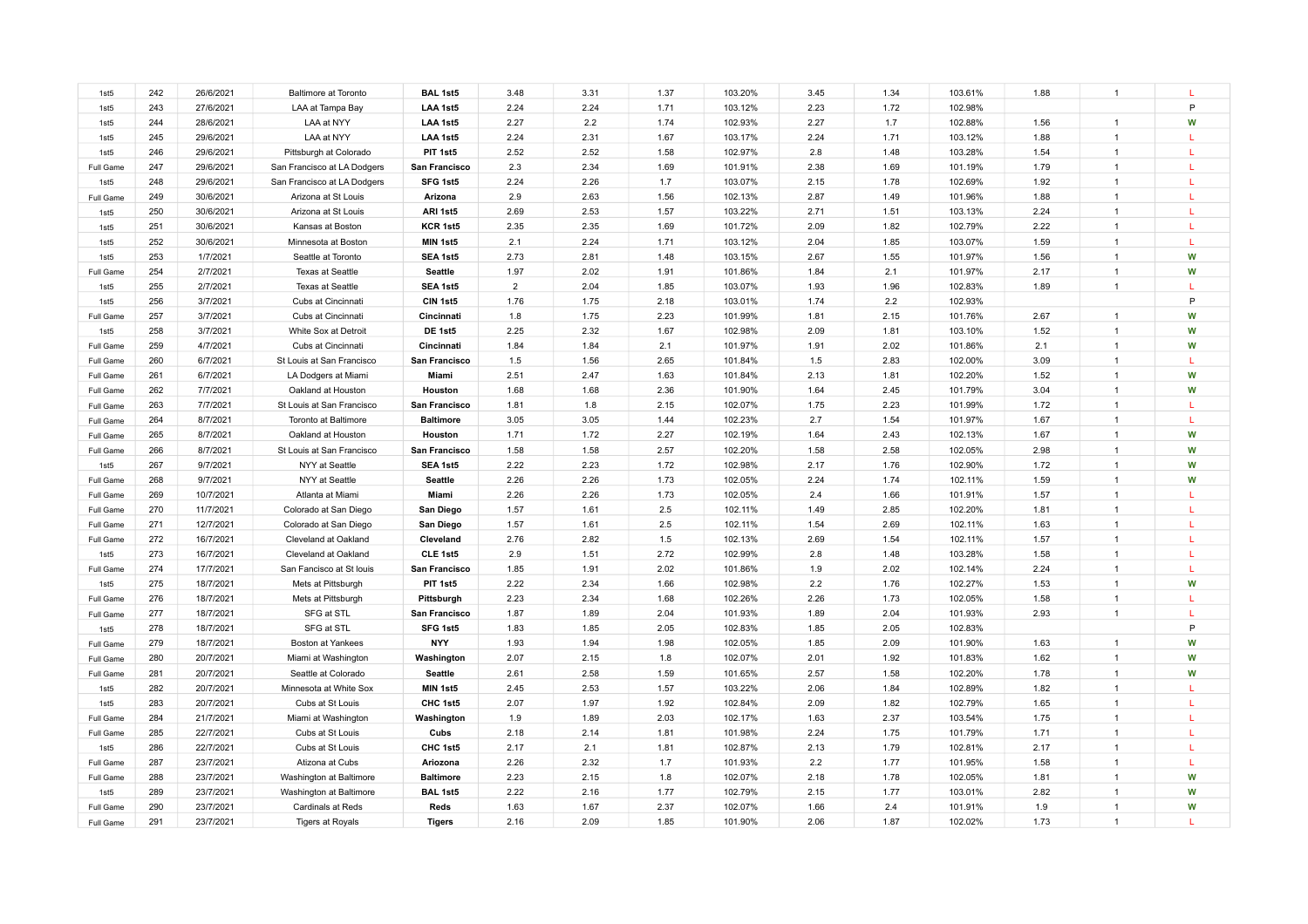| 1st5             | 242        | 26/6/2021 | <b>Baltimore at Toronto</b> | BAL 1st5         | 3.48           | 3.31 | 1.37 | 103.20% | 3.45 | 1.34 | 103.61% | 1.88 | $\overline{1}$                   |              |
|------------------|------------|-----------|-----------------------------|------------------|----------------|------|------|---------|------|------|---------|------|----------------------------------|--------------|
| 1st5             | 243        | 27/6/2021 | LAA at Tampa Bay            | LAA 1st5         | 2.24           | 2.24 | 1.71 | 103.12% | 2.23 | 1.72 | 102.98% |      |                                  | P            |
| 1st5             | 244        | 28/6/2021 | LAA at NYY                  | LAA 1st5         | 2.27           | 2.2  | 1.74 | 102.93% | 2.27 | 1.7  | 102.88% | 1.56 | $\overline{1}$                   | W            |
| 1st5             | 245        | 29/6/2021 | LAA at NYY                  | LAA 1st5         | 2.24           | 2.31 | 1.67 | 103.17% | 2.24 | 1.71 | 103.12% | 1.88 |                                  | L            |
| 1st5             | 246        | 29/6/2021 | Pittsburgh at Colorado      | PIT 1st5         | 2.52           | 2.52 | 1.58 | 102.97% | 2.8  | 1.48 | 103.28% | 1.54 |                                  | L            |
| Full Game        | 247        | 29/6/2021 | San Francisco at LA Dodgers | San Francisco    | 2.3            | 2.34 | 1.69 | 101.91% | 2.38 | 1.69 | 101.19% | 1.79 |                                  | т.           |
| 1st5             | 248        | 29/6/2021 | San Francisco at LA Dodgers | SFG 1st5         | 2.24           | 2.26 | 1.7  | 103.07% | 2.15 | 1.78 | 102.69% | 1.92 | $\overline{1}$                   | L            |
| Full Game        | 249        | 30/6/2021 | Arizona at St Louis         | Arizona          | 2.9            | 2.63 | 1.56 | 102.13% | 2.87 | 1.49 | 101.96% | 1.88 |                                  |              |
| 1st5             | 250        | 30/6/2021 | Arizona at St Louis         | ARI 1st5         | 2.69           | 2.53 | 1.57 | 103.22% | 2.71 | 1.51 | 103.13% | 2.24 |                                  |              |
| 1st5             | 251        | 30/6/2021 | Kansas at Boston            | KCR 1st5         | 2.35           | 2.35 | 1.69 | 101.72% | 2.09 | 1.82 | 102.79% | 2.22 | $\mathbf{1}$                     | L            |
| 1st5             | 252        | 30/6/2021 | Minnesota at Boston         | MIN 1st5         | 2.1            | 2.24 | 1.71 | 103.12% | 2.04 | 1.85 | 103.07% | 1.59 | $\overline{1}$                   | $\mathbf{L}$ |
| 1st5             | 253        | 1/7/2021  | Seattle at Toronto          | SEA 1st5         | 2.73           | 2.81 | 1.48 | 103.15% | 2.67 | 1.55 | 101.97% | 1.56 | $\blacktriangleleft$             | W            |
| Full Game        | 254        | 2/7/2021  | <b>Texas at Seattle</b>     | Seattle          | 1.97           | 2.02 | 1.91 | 101.86% | 1.84 | 2.1  | 101.97% | 2.17 | $\mathbf{1}$                     | W            |
| 1st5             | 255        | 2/7/2021  | <b>Texas at Seattle</b>     | SEA 1st5         | $\overline{2}$ | 2.04 | 1.85 | 103.07% | 1.93 | 1.96 | 102.83% | 1.89 | $\overline{1}$                   | L            |
| 1st5             | 256        | 3/7/2021  | Cubs at Cincinnati          | CIN 1st5         | 1.76           | 1.75 | 2.18 | 103.01% | 1.74 | 2.2  | 102.93% |      |                                  | P            |
| Full Game        | 257        | 3/7/2021  | Cubs at Cincinnati          | Cincinnati       | 1.8            | 1.75 | 2.23 | 101.99% | 1.81 | 2.15 | 101.76% | 2.67 | $\blacktriangleleft$             | W            |
| 1st5             | 258        | 3/7/2021  | White Sox at Detroit        | DE 1st5          | 2.25           | 2.32 | 1.67 | 102.98% | 2.09 | 1.81 | 103.10% | 1.52 | $\overline{1}$                   | W            |
| Full Game        | 259        | 4/7/2021  | Cubs at Cincinnati          | Cincinnati       | 1.84           | 1.84 | 2.1  | 101.97% | 1.91 | 2.02 | 101.86% | 2.1  | $\overline{1}$                   | W            |
| Full Game        | 260        | 6/7/2021  | St Louis at San Francisco   | San Francisco    | 1.5            | 1.56 | 2.65 | 101.84% | 1.5  | 2.83 | 102.00% | 3.09 | $\overline{1}$                   | L            |
| Full Game        | 261        | 6/7/2021  | LA Dodgers at Miami         | Miami            | 2.51           | 2.47 | 1.63 | 101.84% | 2.13 | 1.81 | 102.20% | 1.52 | $\overline{1}$                   | W            |
| Full Game        | 262        | 7/7/2021  | Oakland at Houston          | Houston          | 1.68           | 1.68 | 2.36 | 101.90% | 1.64 | 2.45 | 101.79% | 3.04 | $\overline{1}$                   | W            |
| Full Game        | 263        | 7/7/2021  | St Louis at San Francisco   | San Francisco    | 1.81           | 1.8  | 2.15 | 102.07% | 1.75 | 2.23 | 101.99% | 1.72 | $\overline{1}$                   | $\mathbf{L}$ |
| Full Game        | 264        | 8/7/2021  | Toronto at Baltimore        | <b>Baltimore</b> | 3.05           | 3.05 | 1.44 | 102.23% | 2.7  | 1.54 | 101.97% | 1.67 | $\overline{1}$                   | L.           |
| Full Game        | 265        | 8/7/2021  | Oakland at Houston          | Houston          | 1.71           | 1.72 | 2.27 | 102.19% | 1.64 | 2.43 | 102.13% | 1.67 | $\overline{1}$                   | W            |
| Full Game        | 266        | 8/7/2021  | St Louis at San Francisco   | San Francisco    | 1.58           | 1.58 | 2.57 | 102.20% | 1.58 | 2.58 | 102.05% | 2.98 | $\overline{1}$                   | W            |
| 1st5             | 267        | 9/7/2021  | NYY at Seattle              | SEA 1st5         | 2.22           | 2.23 | 1.72 | 102.98% | 2.17 | 1.76 | 102.90% | 1.72 | $\overline{1}$                   | W            |
| Full Game        | 268        | 9/7/2021  | NYY at Seattle              | <b>Seattle</b>   | 2.26           | 2.26 | 1.73 | 102.05% | 2.24 | 1.74 | 102.11% | 1.59 | $\overline{1}$                   | W            |
| Full Game        | 269        | 10/7/2021 | Atlanta at Miami            | Miami            | 2.26           | 2.26 | 1.73 | 102.05% | 2.4  | 1.66 | 101.91% | 1.57 | $\overline{1}$                   | L            |
| Full Game        | 270        | 11/7/2021 | Colorado at San Diego       | San Diego        | 1.57           | 1.61 | 2.5  | 102.11% | 1.49 | 2.85 | 102.20% | 1.81 | $\overline{1}$                   | т.           |
| Full Game        | 271        | 12/7/2021 | Colorado at San Diego       | San Diego        | 1.57           | 1.61 | 2.5  | 102.11% | 1.54 | 2.69 | 102.11% | 1.63 | $\overline{1}$                   | T.           |
| Full Game        | 272        | 16/7/2021 | Cleveland at Oakland        | Cleveland        | 2.76           | 2.82 | 1.5  | 102.13% | 2.69 | 1.54 | 102.11% | 1.57 | $\overline{1}$                   | L            |
| 1st5             | 273        | 16/7/2021 | Cleveland at Oakland        | CLE 1st5         | 2.9            | 1.51 | 2.72 | 102.99% | 2.8  | 1.48 | 103.28% | 1.58 | $\overline{1}$                   | т.           |
| Full Game        | 274        | 17/7/2021 | San Fancisco at St Iouis    | San Francisco    | 1.85           | 1.91 | 2.02 | 101.86% | 1.9  | 2.02 | 102.14% | 2.24 | $\overline{1}$                   | L            |
| 1st5             | 275        | 18/7/2021 | Mets at Pittsburgh          | PIT 1st5         | 2.22           | 2.34 | 1.66 | 102.98% | 2.2  | 1.76 | 102.27% | 1.53 | $\overline{1}$                   | W            |
| Full Game        | 276        | 18/7/2021 | Mets at Pittsburgh          | Pittsburgh       | 2.23           | 2.34 | 1.68 | 102.26% | 2.26 | 1.73 | 102.05% | 1.58 | $\overline{1}$                   | L            |
| Full Game        | 277        | 18/7/2021 | SFG at STL                  | San Francisco    | 1.87           | 1.89 | 2.04 | 101.93% | 1.89 | 2.04 | 101.93% | 2.93 | $\overline{1}$                   | $\mathbf{L}$ |
| 1st5             | 278        | 18/7/2021 | SFG at STL                  | SFG 1st5         | 1.83           | 1.85 | 2.05 | 102.83% | 1.85 | 2.05 | 102.83% |      |                                  | P            |
| Full Game        | 279        | 18/7/2021 | Boston at Yankees           | <b>NYY</b>       | 1.93           | 1.94 | 1.98 | 102.05% | 1.85 | 2.09 | 101.90% | 1.63 | $\mathbf{1}$                     | W            |
| Full Game        | 280        | 20/7/2021 | Miami at Washington         | Washington       | 2.07           | 2.15 | 1.8  | 102.07% | 2.01 | 1.92 | 101.83% | 1.62 | $\mathbf{1}$                     | W            |
| Full Game        | 281        | 20/7/2021 | Seattle at Colorado         | <b>Seattle</b>   | 2.61           | 2.58 | 1.59 | 101.65% | 2.57 | 1.58 | 102.20% | 1.78 | $\overline{1}$                   | W            |
| 1st5             | 282        | 20/7/2021 | Minnesota at White Sox      | MIN 1st5         | 2.45           | 2.53 | 1.57 | 103.22% | 2.06 | 1.84 | 102.89% | 1.82 | $\mathbf{1}$                     | L            |
| 1st <sub>5</sub> | 283        | 20/7/2021 | Cubs at St Louis            | CHC 1st5         | 2.07           | 1.97 | 1.92 | 102.84% | 2.09 | 1.82 | 102.79% | 1.65 | $\overline{1}$                   | т.           |
| Full Game        | 284        | 21/7/2021 | Miami at Washington         | Washington       | 1.9            | 1.89 | 2.03 | 102.17% | 1.63 | 2.37 | 103.54% | 1.75 | $\overline{1}$                   | L            |
| Full Game        | 285        | 22/7/2021 | Cubs at St Louis            | Cubs             | 2.18           | 2.14 | 1.81 | 101.98% | 2.24 | 1.75 | 101.79% | 1.71 | $\mathbf{1}$                     | L            |
| 1st5             | 286        | 22/7/2021 | Cubs at St Louis            | CHC 1st5         | 2.17           | 2.1  | 1.81 | 102.87% | 2.13 | 1.79 | 102.81% | 2.17 | $\overline{1}$                   | L            |
| Full Game        | 287        | 23/7/2021 | Atizona at Cubs             | Ariozona         | 2.26           | 2.32 | 1.7  | 101.93% | 2.2  | 1.77 | 101.95% | 1.58 | $\overline{1}$                   | L.           |
| Full Game        | 288        | 23/7/2021 | Washington at Baltimore     | <b>Baltimore</b> | 2.23           | 2.15 | 1.8  | 102.07% | 2.18 | 1.78 | 102.05% | 1.81 | $\mathbf{1}$                     | W            |
| 1st5             | 289<br>290 | 23/7/2021 | Washington at Baltimore     | <b>BAL 1st5</b>  | 2.22           | 2.16 | 1.77 | 102.79% | 2.15 | 1.77 | 103.01% | 2.82 | $\overline{1}$<br>$\overline{1}$ | W            |
| Full Game        |            | 23/7/2021 | Cardinals at Reds           | Reds             | 1.63           | 1.67 | 2.37 | 102.07% | 1.66 | 2.4  | 101.91% | 1.9  |                                  | W            |
| Full Game        | 291        | 23/7/2021 | <b>Tigers at Royals</b>     | <b>Tigers</b>    | 2.16           | 2.09 | 1.85 | 101.90% | 2.06 | 1.87 | 102.02% | 1.73 | $\mathbf{1}$                     |              |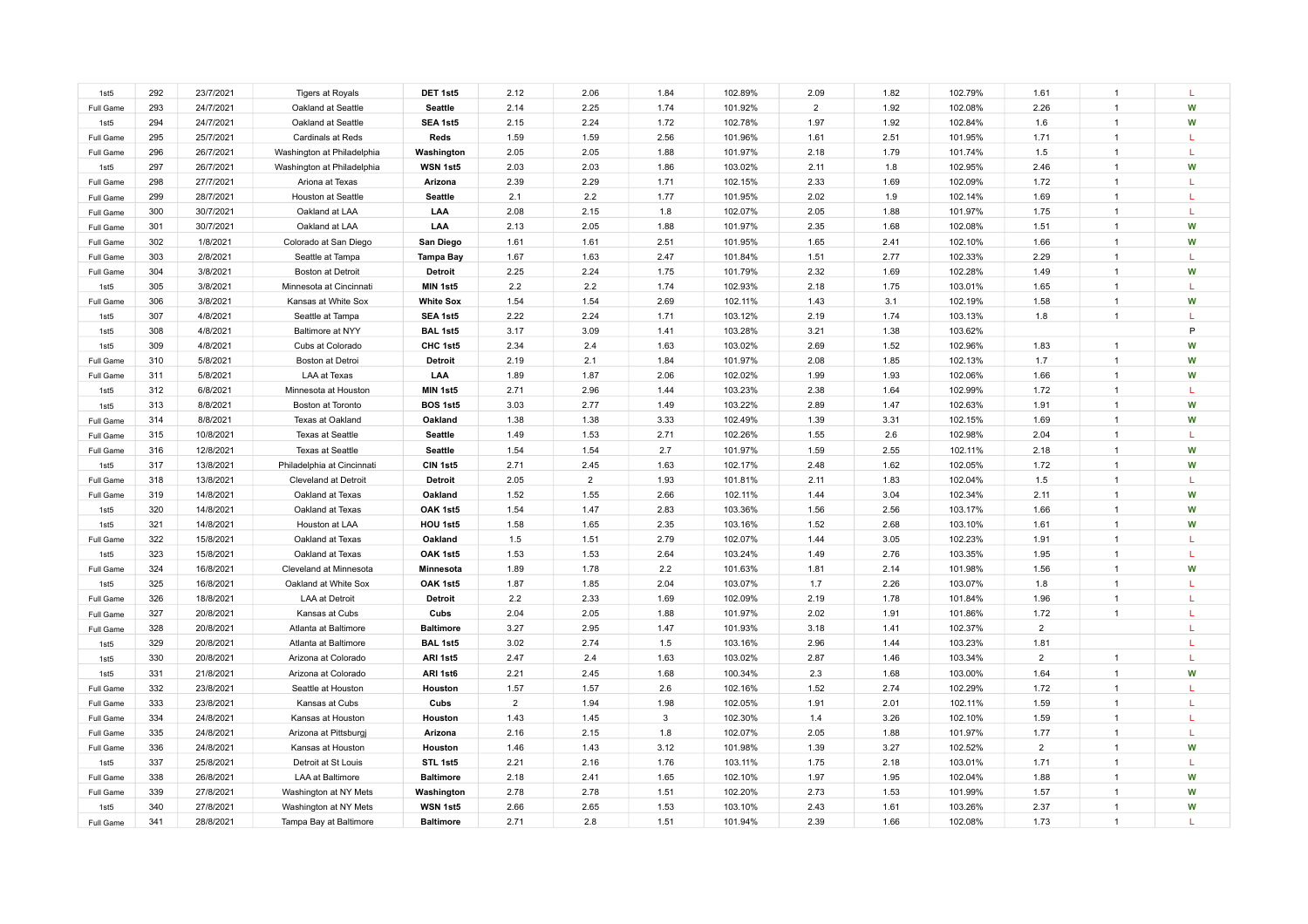| 1st5             | 292 | 23/7/2021 | <b>Tigers at Royals</b>    | DET 1st5         | 2.12           | 2.06           | 1.84 | 102.89% | 2.09           | 1.82 | 102.79% | 1.61           |                      |              |
|------------------|-----|-----------|----------------------------|------------------|----------------|----------------|------|---------|----------------|------|---------|----------------|----------------------|--------------|
| Full Game        | 293 | 24/7/2021 | Oakland at Seattle         | <b>Seattle</b>   | 2.14           | 2.25           | 1.74 | 101.92% | $\overline{2}$ | 1.92 | 102.08% | 2.26           | $\overline{1}$       | W            |
| 1st5             | 294 | 24/7/2021 | Oakland at Seattle         | SEA 1st5         | 2.15           | 2.24           | 1.72 | 102.78% | 1.97           | 1.92 | 102.84% | 1.6            | $\mathbf{1}$         | W            |
| Full Game        | 295 | 25/7/2021 | Cardinals at Reds          | Reds             | 1.59           | 1.59           | 2.56 | 101.96% | 1.61           | 2.51 | 101.95% | 1.71           |                      | L            |
| Full Game        | 296 | 26/7/2021 | Washington at Philadelphia | Washington       | 2.05           | 2.05           | 1.88 | 101.97% | 2.18           | 1.79 | 101.74% | 1.5            |                      | L            |
| 1st5             | 297 | 26/7/2021 | Washington at Philadelphia | WSN 1st5         | 2.03           | 2.03           | 1.86 | 103.02% | 2.11           | 1.8  | 102.95% | 2.46           |                      | W            |
| Full Game        | 298 | 27/7/2021 | Ariona at Texas            | Arizona          | 2.39           | 2.29           | 1.71 | 102.15% | 2.33           | 1.69 | 102.09% | 1.72           |                      |              |
| Full Game        | 299 | 28/7/2021 | Houston at Seattle         | <b>Seattle</b>   | 2.1            | 2.2            | 1.77 | 101.95% | 2.02           | 1.9  | 102.14% | 1.69           |                      | L            |
| Full Game        | 300 | 30/7/2021 | Oakland at LAA             | LAA              | 2.08           | 2.15           | 1.8  | 102.07% | 2.05           | 1.88 | 101.97% | 1.75           |                      |              |
| Full Game        | 301 | 30/7/2021 | Oakland at LAA             | LAA              | 2.13           | 2.05           | 1.88 | 101.97% | 2.35           | 1.68 | 102.08% | 1.51           |                      | W            |
| Full Game        | 302 | 1/8/2021  | Colorado at San Diego      | San Diego        | 1.61           | 1.61           | 2.51 | 101.95% | 1.65           | 2.41 | 102.10% | 1.66           |                      | W            |
| Full Game        | 303 | 2/8/2021  | Seattle at Tampa           | <b>Tampa Bay</b> | 1.67           | 1.63           | 2.47 | 101.84% | 1.51           | 2.77 | 102.33% | 2.29           |                      |              |
| Full Game        | 304 | 3/8/2021  | Boston at Detroit          | Detroit          | 2.25           | 2.24           | 1.75 | 101.79% | 2.32           | 1.69 | 102.28% | 1.49           |                      | W            |
| 1st5             | 305 | 3/8/2021  | Minnesota at Cincinnati    | MIN 1st5         | 2.2            | 2.2            | 1.74 | 102.93% | 2.18           | 1.75 | 103.01% | 1.65           | $\mathbf{1}$         | т.           |
| Full Game        | 306 | 3/8/2021  | Kansas at White Sox        | <b>White Sox</b> | 1.54           | 1.54           | 2.69 | 102.11% | 1.43           | 3.1  | 102.19% | 1.58           | $\mathbf{1}$         | W            |
| 1st5             | 307 | 4/8/2021  | Seattle at Tampa           | SEA 1st5         | 2.22           | 2.24           | 1.71 | 103.12% | 2.19           | 1.74 | 103.13% | 1.8            | $\overline{1}$       |              |
| 1st5             | 308 | 4/8/2021  | Baltimore at NYY           | BAL 1st5         | 3.17           | 3.09           | 1.41 | 103.28% | 3.21           | 1.38 | 103.62% |                |                      | P            |
| 1st <sub>5</sub> | 309 | 4/8/2021  | Cubs at Colorado           | CHC 1st5         | 2.34           | 2.4            | 1.63 | 103.02% | 2.69           | 1.52 | 102.96% | 1.83           | $\blacktriangleleft$ | W            |
| Full Game        | 310 | 5/8/2021  | Boston at Detroi           | Detroit          | 2.19           | 2.1            | 1.84 | 101.97% | 2.08           | 1.85 | 102.13% | 1.7            | $\overline{1}$       | W            |
| Full Game        | 311 | 5/8/2021  | LAA at Texas               | LAA              | 1.89           | 1.87           | 2.06 | 102.02% | 1.99           | 1.93 | 102.06% | 1.66           | $\overline{1}$       | W            |
| 1st5             | 312 | 6/8/2021  | Minnesota at Houston       | MIN 1st5         | 2.71           | 2.96           | 1.44 | 103.23% | 2.38           | 1.64 | 102.99% | 1.72           | $\overline{1}$       | L            |
| 1st5             | 313 | 8/8/2021  | Boston at Toronto          | <b>BOS 1st5</b>  | 3.03           | 2.77           | 1.49 | 103.22% | 2.89           | 1.47 | 102.63% | 1.91           | $\overline{1}$       | W            |
| Full Game        | 314 | 8/8/2021  | Texas at Oakland           | Oakland          | 1.38           | 1.38           | 3.33 | 102.49% | 1.39           | 3.31 | 102.15% | 1.69           | $\overline{1}$       | W            |
| Full Game        | 315 | 10/8/2021 | <b>Texas at Seattle</b>    | <b>Seattle</b>   | 1.49           | 1.53           | 2.71 | 102.26% | 1.55           | 2.6  | 102.98% | 2.04           | $\overline{1}$       | $\mathbf{L}$ |
| Full Game        | 316 | 12/8/2021 | Texas at Seattle           | <b>Seattle</b>   | 1.54           | 1.54           | 2.7  | 101.97% | 1.59           | 2.55 | 102.11% | 2.18           | $\overline{1}$       | W            |
| 1st5             | 317 | 13/8/2021 | Philadelphia at Cincinnati | CIN 1st5         | 2.71           | 2.45           | 1.63 | 102.17% | 2.48           | 1.62 | 102.05% | 1.72           | $\overline{1}$       | W            |
| Full Game        | 318 | 13/8/2021 | Cleveland at Detroit       | <b>Detroit</b>   | 2.05           | $\overline{2}$ | 1.93 | 101.81% | 2.11           | 1.83 | 102.04% | 1.5            | $\overline{1}$       | $\mathbf{L}$ |
| Full Game        | 319 | 14/8/2021 | Oakland at Texas           | Oakland          | 1.52           | 1.55           | 2.66 | 102.11% | 1.44           | 3.04 | 102.34% | 2.11           | $\overline{1}$       | W            |
| 1st5             | 320 | 14/8/2021 | Oakland at Texas           | OAK 1st5         | 1.54           | 1.47           | 2.83 | 103.36% | 1.56           | 2.56 | 103.17% | 1.66           | $\overline{1}$       | W            |
| 1st5             | 321 | 14/8/2021 | Houston at LAA             | HOU 1st5         | 1.58           | 1.65           | 2.35 | 103.16% | 1.52           | 2.68 | 103.10% | 1.61           | $\overline{1}$       | W            |
| Full Game        | 322 | 15/8/2021 | Oakland at Texas           | Oakland          | 1.5            | 1.51           | 2.79 | 102.07% | 1.44           | 3.05 | 102.23% | 1.91           | $\overline{1}$       | L            |
| 1st5             | 323 | 15/8/2021 | Oakland at Texas           | OAK 1st5         | 1.53           | 1.53           | 2.64 | 103.24% | 1.49           | 2.76 | 103.35% | 1.95           | $\overline{1}$       | L            |
| Full Game        | 324 | 16/8/2021 | Cleveland at Minnesota     | <b>Minnesota</b> | 1.89           | 1.78           | 2.2  | 101.63% | 1.81           | 2.14 | 101.98% | 1.56           | $\mathbf{1}$         | W            |
| 1st5             | 325 | 16/8/2021 | Oakland at White Sox       | OAK 1st5         | 1.87           | 1.85           | 2.04 | 103.07% | 1.7            | 2.26 | 103.07% | 1.8            | $\overline{1}$       | T.           |
| Full Game        | 326 | 18/8/2021 | <b>LAA at Detroit</b>      | Detroit          | 2.2            | 2.33           | 1.69 | 102.09% | 2.19           | 1.78 | 101.84% | 1.96           | $\mathbf{1}$         | L.           |
| Full Game        | 327 | 20/8/2021 | Kansas at Cubs             | Cubs             | 2.04           | 2.05           | 1.88 | 101.97% | 2.02           | 1.91 | 101.86% | 1.72           | $\overline{1}$       | L            |
| Full Game        | 328 | 20/8/2021 | Atlanta at Baltimore       | <b>Baltimore</b> | 3.27           | 2.95           | 1.47 | 101.93% | 3.18           | 1.41 | 102.37% | $\overline{2}$ |                      | L.           |
| 1st5             | 329 | 20/8/2021 | Atlanta at Baltimore       | <b>BAL 1st5</b>  | 3.02           | 2.74           | 1.5  | 103.16% | 2.96           | 1.44 | 103.23% | 1.81           |                      |              |
| 1st <sub>5</sub> | 330 | 20/8/2021 | Arizona at Colorado        | ARI 1st5         | 2.47           | 2.4            | 1.63 | 103.02% | 2.87           | 1.46 | 103.34% | $\overline{2}$ | $\mathbf{1}$         | L            |
| 1st <sub>5</sub> | 331 | 21/8/2021 | Arizona at Colorado        | ARI 1st6         | 2.21           | 2.45           | 1.68 | 100.34% | 2.3            | 1.68 | 103.00% | 1.64           | $\overline{1}$       | W            |
| Full Game        | 332 | 23/8/2021 | Seattle at Houston         | Houston          | 1.57           | 1.57           | 2.6  | 102.16% | 1.52           | 2.74 | 102.29% | 1.72           | $\mathbf{1}$         | L            |
| Full Game        | 333 | 23/8/2021 | Kansas at Cubs             | Cubs             | $\overline{2}$ | 1.94           | 1.98 | 102.05% | 1.91           | 2.01 | 102.11% | 1.59           | $\mathbf{1}$         | L            |
| Full Game        | 334 | 24/8/2021 | Kansas at Houston          | Houston          | 1.43           | 1.45           | 3    | 102.30% | 1.4            | 3.26 | 102.10% | 1.59           | $\mathbf{1}$         | L            |
| Full Game        | 335 | 24/8/2021 | Arizona at Pittsburgj      | Arizona          | 2.16           | 2.15           | 1.8  | 102.07% | 2.05           | 1.88 | 101.97% | 1.77           | -1                   | L            |
| Full Game        | 336 | 24/8/2021 | Kansas at Houston          | Houston          | 1.46           | 1.43           | 3.12 | 101.98% | 1.39           | 3.27 | 102.52% | $\overline{2}$ | $\overline{1}$       | W            |
| 1st <sub>5</sub> | 337 | 25/8/2021 | Detroit at St Louis        | STL 1st5         | 2.21           | 2.16           | 1.76 | 103.11% | 1.75           | 2.18 | 103.01% | 1.71           | $\overline{1}$       | L            |
| Full Game        | 338 | 26/8/2021 | LAA at Baltimore           | <b>Baltimore</b> | 2.18           | 2.41           | 1.65 | 102.10% | 1.97           | 1.95 | 102.04% | 1.88           |                      | W            |
| Full Game        | 339 | 27/8/2021 | Washington at NY Mets      | Washington       | 2.78           | 2.78           | 1.51 | 102.20% | 2.73           | 1.53 | 101.99% | 1.57           |                      | W            |
| 1st <sub>5</sub> | 340 | 27/8/2021 | Washington at NY Mets      | WSN 1st5         | 2.66           | 2.65           | 1.53 | 103.10% | 2.43           | 1.61 | 103.26% | 2.37           | $\overline{1}$       | W            |
| Full Game        | 341 | 28/8/2021 | Tampa Bay at Baltimore     | <b>Baltimore</b> | 2.71           | 2.8            | 1.51 | 101.94% | 2.39           | 1.66 | 102.08% | 1.73           |                      |              |
|                  |     |           |                            |                  |                |                |      |         |                |      |         |                |                      |              |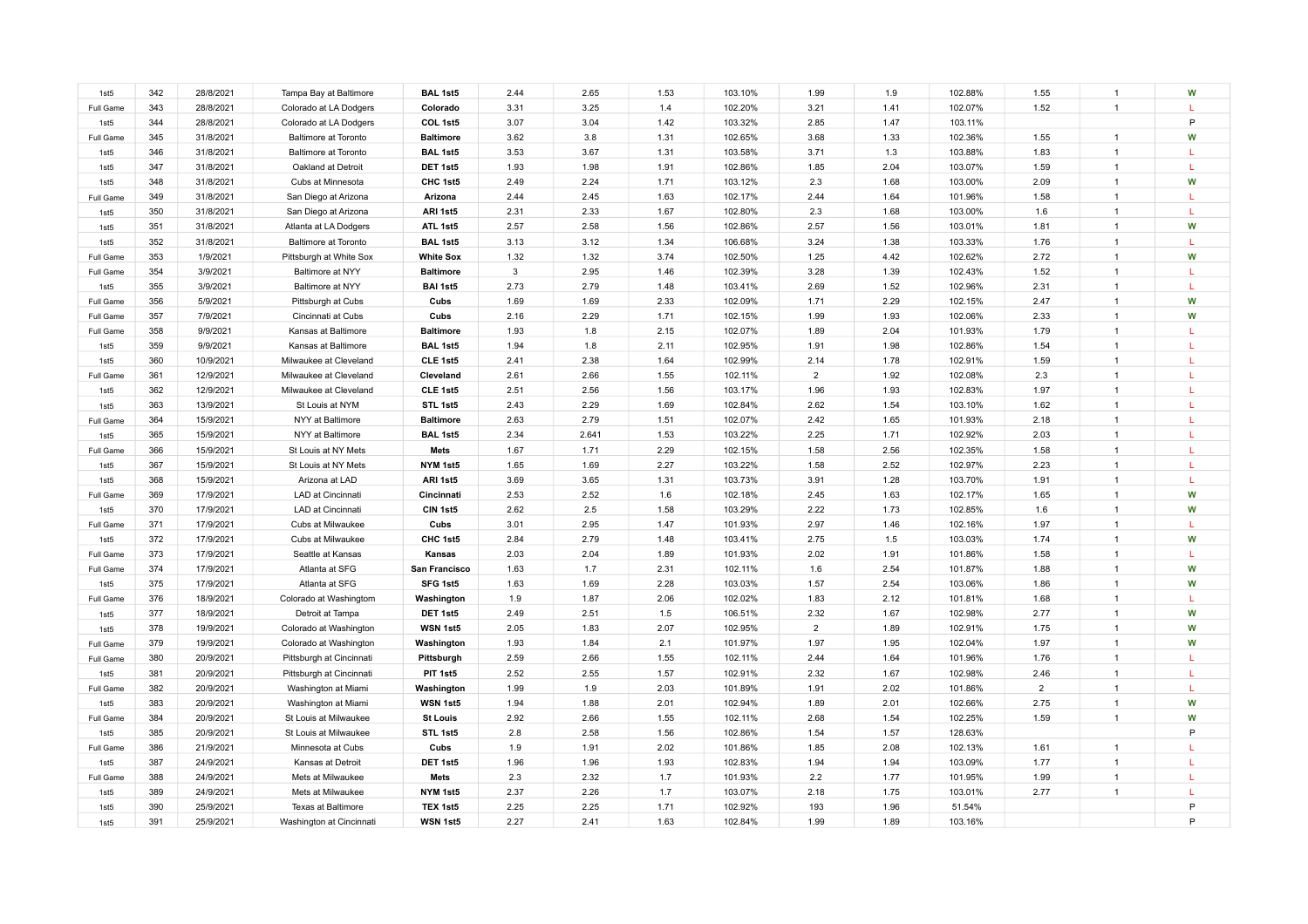| 1st5      | 342 | 28/8/2021 | Tampa Bay at Baltimore      | <b>BAL 1st5</b>  | 2.44         | 2.65  | 1.53 | 103.10% | 1.99           | 1.9  | 102.88% | 1.55           | $\overline{1}$ | W            |
|-----------|-----|-----------|-----------------------------|------------------|--------------|-------|------|---------|----------------|------|---------|----------------|----------------|--------------|
| Full Game | 343 | 28/8/2021 | Colorado at LA Dodgers      | Colorado         | 3.31         | 3.25  | 1.4  | 102.20% | 3.21           | 1.41 | 102.07% | 1.52           | $\overline{1}$ | L            |
| 1st5      | 344 | 28/8/2021 | Colorado at LA Dodgers      | COL 1st5         | 3.07         | 3.04  | 1.42 | 103.32% | 2.85           | 1.47 | 103.11% |                |                | P            |
| Full Game | 345 | 31/8/2021 | <b>Baltimore at Toronto</b> | <b>Baltimore</b> | 3.62         | 3.8   | 1.31 | 102.65% | 3.68           | 1.33 | 102.36% | 1.55           | $\overline{1}$ | W            |
| 1st5      | 346 | 31/8/2021 | <b>Baltimore at Toronto</b> | <b>BAL 1st5</b>  | 3.53         | 3.67  | 1.31 | 103.58% | 3.71           | 1.3  | 103.88% | 1.83           |                | L            |
| 1st5      | 347 | 31/8/2021 | Oakland at Detroit          | DET 1st5         | 1.93         | 1.98  | 1.91 | 102.86% | 1.85           | 2.04 | 103.07% | 1.59           |                | L            |
| 1st5      | 348 | 31/8/2021 | Cubs at Minnesota           | CHC 1st5         | 2.49         | 2.24  | 1.71 | 103.12% | 2.3            | 1.68 | 103.00% | 2.09           |                | W            |
| Full Game | 349 | 31/8/2021 | San Diego at Arizona        | Arizona          | 2.44         | 2.45  | 1.63 | 102.17% | 2.44           | 1.64 | 101.96% | 1.58           |                | L            |
| 1st5      | 350 | 31/8/2021 | San Diego at Arizona        | ARI 1st5         | 2.31         | 2.33  | 1.67 | 102.80% | 2.3            | 1.68 | 103.00% | 1.6            |                |              |
| 1st5      | 351 | 31/8/2021 | Atlanta at LA Dodgers       | ATL 1st5         | 2.57         | 2.58  | 1.56 | 102.86% | 2.57           | 1.56 | 103.01% | 1.81           |                | W            |
| 1st5      | 352 | 31/8/2021 | <b>Baltimore at Toronto</b> | <b>BAL 1st5</b>  | 3.13         | 3.12  | 1.34 | 106.68% | 3.24           | 1.38 | 103.33% | 1.76           |                |              |
| Full Game | 353 | 1/9/2021  | Pittsburgh at White Sox     | <b>White Sox</b> | 1.32         | 1.32  | 3.74 | 102.50% | 1.25           | 4.42 | 102.62% | 2.72           |                | W            |
| Full Game | 354 | 3/9/2021  | Baltimore at NYY            | <b>Baltimore</b> | $\mathbf{3}$ | 2.95  | 1.46 | 102.39% | 3.28           | 1.39 | 102.43% | 1.52           |                | L            |
| 1st5      | 355 | 3/9/2021  | Baltimore at NYY            | <b>BAI 1st5</b>  | 2.73         | 2.79  | 1.48 | 103.41% | 2.69           | 1.52 | 102.96% | 2.31           |                | L.           |
| Full Game | 356 | 5/9/2021  | Pittsburgh at Cubs          | Cubs             | 1.69         | 1.69  | 2.33 | 102.09% | 1.71           | 2.29 | 102.15% | 2.47           |                | W            |
| Full Game | 357 | 7/9/2021  | Cincinnati at Cubs          | Cubs             | 2.16         | 2.29  | 1.71 | 102.15% | 1.99           | 1.93 | 102.06% | 2.33           |                | W            |
| Full Game | 358 | 9/9/2021  | Kansas at Baltimore         | <b>Baltimore</b> | 1.93         | 1.8   | 2.15 | 102.07% | 1.89           | 2.04 | 101.93% | 1.79           | $\overline{1}$ | T.           |
| 1st5      | 359 | 9/9/2021  | Kansas at Baltimore         | <b>BAL 1st5</b>  | 1.94         | 1.8   | 2.11 | 102.95% | 1.91           | 1.98 | 102.86% | 1.54           |                | T.           |
| 1st5      | 360 | 10/9/2021 | Milwaukee at Cleveland      | CLE 1st5         | 2.41         | 2.38  | 1.64 | 102.99% | 2.14           | 1.78 | 102.91% | 1.59           | $\overline{1}$ | L.           |
| Full Game | 361 | 12/9/2021 | Milwaukee at Cleveland      | Cleveland        | 2.61         | 2.66  | 1.55 | 102.11% | $\overline{2}$ | 1.92 | 102.08% | 2.3            | $\overline{1}$ |              |
| 1st5      | 362 | 12/9/2021 | Milwaukee at Cleveland      | CLE 1st5         | 2.51         | 2.56  | 1.56 | 103.17% | 1.96           | 1.93 | 102.83% | 1.97           | $\overline{1}$ | L.           |
| 1st5      | 363 | 13/9/2021 | St Louis at NYM             | STL 1st5         | 2.43         | 2.29  | 1.69 | 102.84% | 2.62           | 1.54 | 103.10% | 1.62           | $\overline{1}$ | T.           |
| Full Game | 364 | 15/9/2021 | NYY at Baltimore            | <b>Baltimore</b> | 2.63         | 2.79  | 1.51 | 102.07% | 2.42           | 1.65 | 101.93% | 2.18           | $\overline{1}$ | L            |
| 1st5      | 365 | 15/9/2021 | NYY at Baltimore            | <b>BAL 1st5</b>  | 2.34         | 2.641 | 1.53 | 103.22% | 2.25           | 1.71 | 102.92% | 2.03           | $\overline{1}$ | T.           |
| Full Game | 366 | 15/9/2021 | St Louis at NY Mets         | <b>Mets</b>      | 1.67         | 1.71  | 2.29 | 102.15% | 1.58           | 2.56 | 102.35% | 1.58           | $\overline{1}$ | $\mathbf{L}$ |
| 1st5      | 367 | 15/9/2021 | St Louis at NY Mets         | NYM 1st5         | 1.65         | 1.69  | 2.27 | 103.22% | 1.58           | 2.52 | 102.97% | 2.23           | $\overline{1}$ | T.           |
| 1st5      | 368 | 15/9/2021 | Arizona at LAD              | ARI 1st5         | 3.69         | 3.65  | 1.31 | 103.73% | 3.91           | 1.28 | 103.70% | 1.91           | $\overline{1}$ | L            |
| Full Game | 369 | 17/9/2021 | LAD at Cincinnati           | Cincinnati       | 2.53         | 2.52  | 1.6  | 102.18% | 2.45           | 1.63 | 102.17% | 1.65           | $\overline{1}$ | W            |
| 1st5      | 370 | 17/9/2021 | LAD at Cincinnati           | CIN 1st5         | 2.62         | 2.5   | 1.58 | 103.29% | 2.22           | 1.73 | 102.85% | 1.6            | $\overline{1}$ | W            |
| Full Game | 371 | 17/9/2021 | Cubs at Milwaukee           | Cubs             | 3.01         | 2.95  | 1.47 | 101.93% | 2.97           | 1.46 | 102.16% | 1.97           | $\overline{1}$ | L            |
| 1st5      | 372 | 17/9/2021 | Cubs at Milwaukee           | CHC 1st5         | 2.84         | 2.79  | 1.48 | 103.41% | 2.75           | 1.5  | 103.03% | 1.74           | $\overline{1}$ | W            |
| Full Game | 373 | 17/9/2021 | Seattle at Kansas           | Kansas           | 2.03         | 2.04  | 1.89 | 101.93% | 2.02           | 1.91 | 101.86% | 1.58           | $\overline{1}$ | L            |
| Full Game | 374 | 17/9/2021 | Atlanta at SFG              | San Francisco    | 1.63         | 1.7   | 2.31 | 102.11% | 1.6            | 2.54 | 101.87% | 1.88           | $\overline{1}$ | W            |
| 1st5      | 375 | 17/9/2021 | Atlanta at SFG              | SFG 1st5         | 1.63         | 1.69  | 2.28 | 103.03% | 1.57           | 2.54 | 103.06% | 1.86           | $\overline{1}$ | W            |
| Full Game | 376 | 18/9/2021 | Colorado at Washingtom      | Washington       | 1.9          | 1.87  | 2.06 | 102.02% | 1.83           | 2.12 | 101.81% | 1.68           | $\overline{1}$ | L            |
| 1st5      | 377 | 18/9/2021 | Detroit at Tampa            | DET 1st5         | 2.49         | 2.51  | 1.5  | 106.51% | 2.32           | 1.67 | 102.98% | 2.77           | $\overline{1}$ | W            |
| 1st5      | 378 | 19/9/2021 | Colorado at Washington      | WSN 1st5         | 2.05         | 1.83  | 2.07 | 102.95% | $\overline{2}$ | 1.89 | 102.91% | 1.75           | $\overline{1}$ | W            |
| Full Game | 379 | 19/9/2021 | Colorado at Washington      | Washington       | 1.93         | 1.84  | 2.1  | 101.97% | 1.97           | 1.95 | 102.04% | 1.97           | $\overline{1}$ | W            |
| Full Game | 380 | 20/9/2021 | Pittsburgh at Cincinnati    | Pittsburgh       | 2.59         | 2.66  | 1.55 | 102.11% | 2.44           | 1.64 | 101.96% | 1.76           | $\overline{1}$ | L.           |
| 1st5      | 381 | 20/9/2021 | Pittsburgh at Cincinnati    | PIT 1st5         | 2.52         | 2.55  | 1.57 | 102.91% | 2.32           | 1.67 | 102.98% | 2.46           | $\overline{1}$ | L            |
| Full Game | 382 | 20/9/2021 | Washington at Miami         | Washington       | 1.99         | 1.9   | 2.03 | 101.89% | 1.91           | 2.02 | 101.86% | $\overline{2}$ | $\overline{1}$ | L.           |
| 1st5      | 383 | 20/9/2021 | Washington at Miami         | WSN 1st5         | 1.94         | 1.88  | 2.01 | 102.94% | 1.89           | 2.01 | 102.66% | 2.75           | $\overline{1}$ | W            |
| Full Game | 384 | 20/9/2021 | St Louis at Milwaukee       | <b>St Louis</b>  | 2.92         | 2.66  | 1.55 | 102.11% | 2.68           | 1.54 | 102.25% | 1.59           | $\overline{1}$ | W            |
| 1st5      | 385 | 20/9/2021 | St Louis at Milwaukee       | STL 1st5         | 2.8          | 2.58  | 1.56 | 102.86% | 1.54           | 1.57 | 128.63% |                |                | P            |
| Full Game | 386 | 21/9/2021 | Minnesota at Cubs           | Cubs             | 1.9          | 1.91  | 2.02 | 101.86% | 1.85           | 2.08 | 102.13% | 1.61           | $\overline{1}$ |              |
| 1st5      | 387 | 24/9/2021 | Kansas at Detroit           | DET 1st5         | 1.96         | 1.96  | 1.93 | 102.83% | 1.94           | 1.94 | 103.09% | 1.77           | $\overline{1}$ | L            |
| Full Game | 388 | 24/9/2021 | Mets at Milwaukee           | Mets             | 2.3          | 2.32  | 1.7  | 101.93% | 2.2            | 1.77 | 101.95% | 1.99           | $\overline{1}$ | L            |
| 1st5      | 389 | 24/9/2021 | Mets at Milwaukee           | NYM 1st5         | 2.37         | 2.26  | 1.7  | 103.07% | 2.18           | 1.75 | 103.01% | 2.77           | $\overline{1}$ | L            |
| 1st5      | 390 | 25/9/2021 | Texas at Baltimore          | TEX 1st5         | 2.25         | 2.25  | 1.71 | 102.92% | 193            | 1.96 | 51.54%  |                |                | P            |
| 1st5      | 391 | 25/9/2021 | Washington at Cincinnati    | WSN 1st5         | 2.27         | 2.41  | 1.63 | 102.84% | 1.99           | 1.89 | 103.16% |                |                | P            |
|           |     |           |                             |                  |              |       |      |         |                |      |         |                |                |              |